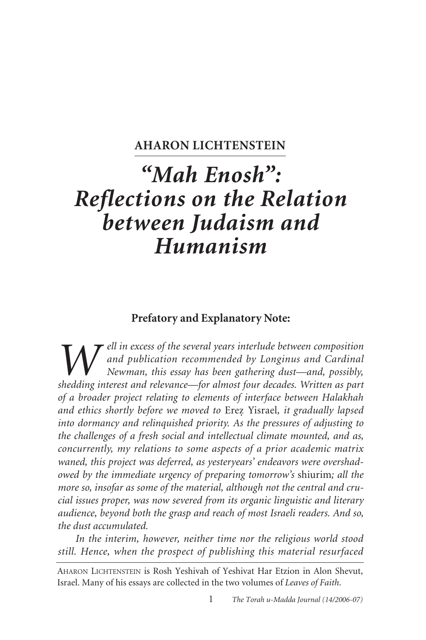# **AHARON LICHTENSTEIN**

# *"Mah Enosh": Reflections on the Relation between Judaism and Humanism*

# **Prefatory and Explanatory Note:**

*Well in excess of the several years interlude between composition*<br>*Newman, this essay has been gathering dust—and, possibly,*<br>*shedding interest and relevance—for almost four decades. Written as part and publication recommended by Longinus and Cardinal Newman, this essay has been gathering dust—and, possibly, shedding interest and relevance—for almost four decades. Written as part of a broader project relating to elements of interface between Halakhah and ethics shortly before we moved to* Erez. Yisrael*, it gradually lapsed into dormancy and relinquished priority. As the pressures of adjusting to the challenges of a fresh social and intellectual climate mounted, and as, concurrently, my relations to some aspects of a prior academic matrix waned, this project was deferred, as yesteryears' endeavors were overshadowed by the immediate urgency of preparing tomorrow's* shiurim*; all the more so, insofar as some of the material, although not the central and crucial issues proper, was now severed from its organic linguistic and literary audience, beyond both the grasp and reach of most Israeli readers. And so, the dust accumulated.*

*In the interim, however, neither time nor the religious world stood still. Hence, when the prospect of publishing this material resurfaced*

AHARON LICHTENSTEIN is Rosh Yeshivah of Yeshivat Har Etzion in Alon Shevut, Israel. Many of his essays are collected in the two volumes of *Leaves of Faith*.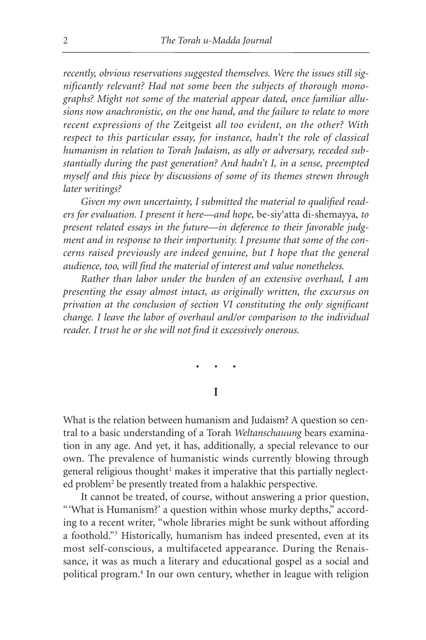*recently, obvious reservations suggested themselves. Were the issues still significantly relevant? Had not some been the subjects of thorough monographs? Might not some of the material appear dated, once familiar allusions now anachronistic, on the one hand, and the failure to relate to more recent expressions of the* Zeitgeist *all too evident, on the other? With respect to this particular essay, for instance, hadn't the role of classical humanism in relation to Torah Judaism, as ally or adversary, receded substantially during the past generation? And hadn't I, in a sense, preempted myself and this piece by discussions of some of its themes strewn through later writings?*

*Given my own uncertainty, I submitted the material to qualified readers for evaluation. I present it here—and hope,* be-siy'atta di-shemayya*, to present related essays in the future—in deference to their favorable judgment and in response to their importunity. I presume that some of the concerns raised previously are indeed genuine, but I hope that the general audience, too, will find the material of interest and value nonetheless.*

*Rather than labor under the burden of an extensive overhaul, I am presenting the essay almost intact, as originally written, the excursus on privation at the conclusion of section VI constituting the only significant change. I leave the labor of overhaul and/or comparison to the individual reader. I trust he or she will not find it excessively onerous.*

•••

**I**

What is the relation between humanism and Judaism? A question so central to a basic understanding of a Torah *Weltanschauung* bears examination in any age. And yet, it has, additionally, a special relevance to our own. The prevalence of humanistic winds currently blowing through general religious thought<sup>1</sup> makes it imperative that this partially neglected problem2 be presently treated from a halakhic perspective.

It cannot be treated, of course, without answering a prior question, "'What is Humanism?' a question within whose murky depths," according to a recent writer, "whole libraries might be sunk without affording a foothold."3 Historically, humanism has indeed presented, even at its most self-conscious, a multifaceted appearance. During the Renaissance, it was as much a literary and educational gospel as a social and political program.4 In our own century, whether in league with religion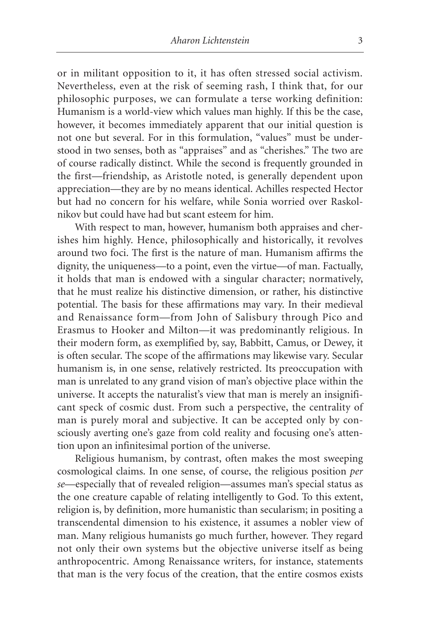or in militant opposition to it, it has often stressed social activism. Nevertheless, even at the risk of seeming rash, I think that, for our philosophic purposes, we can formulate a terse working definition: Humanism is a world-view which values man highly. If this be the case, however, it becomes immediately apparent that our initial question is not one but several. For in this formulation, "values" must be understood in two senses, both as "appraises" and as "cherishes." The two are of course radically distinct. While the second is frequently grounded in the first—friendship, as Aristotle noted, is generally dependent upon appreciation—they are by no means identical. Achilles respected Hector but had no concern for his welfare, while Sonia worried over Raskolnikov but could have had but scant esteem for him.

With respect to man, however, humanism both appraises and cherishes him highly. Hence, philosophically and historically, it revolves around two foci. The first is the nature of man. Humanism affirms the dignity, the uniqueness—to a point, even the virtue—of man. Factually, it holds that man is endowed with a singular character; normatively, that he must realize his distinctive dimension, or rather, his distinctive potential. The basis for these affirmations may vary. In their medieval and Renaissance form—from John of Salisbury through Pico and Erasmus to Hooker and Milton—it was predominantly religious. In their modern form, as exemplified by, say, Babbitt, Camus, or Dewey, it is often secular. The scope of the affirmations may likewise vary. Secular humanism is, in one sense, relatively restricted. Its preoccupation with man is unrelated to any grand vision of man's objective place within the universe. It accepts the naturalist's view that man is merely an insignificant speck of cosmic dust. From such a perspective, the centrality of man is purely moral and subjective. It can be accepted only by consciously averting one's gaze from cold reality and focusing one's attention upon an infinitesimal portion of the universe.

Religious humanism, by contrast, often makes the most sweeping cosmological claims. In one sense, of course, the religious position *per se*—especially that of revealed religion—assumes man's special status as the one creature capable of relating intelligently to God. To this extent, religion is, by definition, more humanistic than secularism; in positing a transcendental dimension to his existence, it assumes a nobler view of man. Many religious humanists go much further, however. They regard not only their own systems but the objective universe itself as being anthropocentric. Among Renaissance writers, for instance, statements that man is the very focus of the creation, that the entire cosmos exists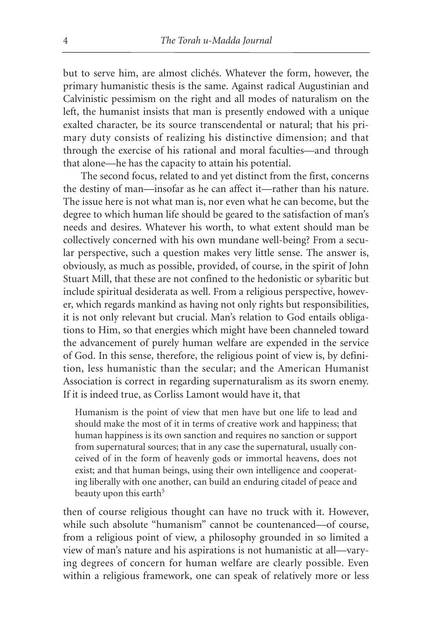but to serve him, are almost clichés. Whatever the form, however, the primary humanistic thesis is the same. Against radical Augustinian and Calvinistic pessimism on the right and all modes of naturalism on the left, the humanist insists that man is presently endowed with a unique exalted character, be its source transcendental or natural; that his primary duty consists of realizing his distinctive dimension; and that through the exercise of his rational and moral faculties—and through that alone—he has the capacity to attain his potential.

The second focus, related to and yet distinct from the first, concerns the destiny of man—insofar as he can affect it—rather than his nature. The issue here is not what man is, nor even what he can become, but the degree to which human life should be geared to the satisfaction of man's needs and desires. Whatever his worth, to what extent should man be collectively concerned with his own mundane well-being? From a secular perspective, such a question makes very little sense. The answer is, obviously, as much as possible, provided, of course, in the spirit of John Stuart Mill, that these are not confined to the hedonistic or sybaritic but include spiritual desiderata as well. From a religious perspective, however, which regards mankind as having not only rights but responsibilities, it is not only relevant but crucial. Man's relation to God entails obligations to Him, so that energies which might have been channeled toward the advancement of purely human welfare are expended in the service of God. In this sense, therefore, the religious point of view is, by definition, less humanistic than the secular; and the American Humanist Association is correct in regarding supernaturalism as its sworn enemy. If it is indeed true, as Corliss Lamont would have it, that

Humanism is the point of view that men have but one life to lead and should make the most of it in terms of creative work and happiness; that human happiness is its own sanction and requires no sanction or support from supernatural sources; that in any case the supernatural, usually conceived of in the form of heavenly gods or immortal heavens, does not exist; and that human beings, using their own intelligence and cooperating liberally with one another, can build an enduring citadel of peace and beauty upon this earth<sup>5</sup>

then of course religious thought can have no truck with it. However, while such absolute "humanism" cannot be countenanced—of course, from a religious point of view, a philosophy grounded in so limited a view of man's nature and his aspirations is not humanistic at all—varying degrees of concern for human welfare are clearly possible. Even within a religious framework, one can speak of relatively more or less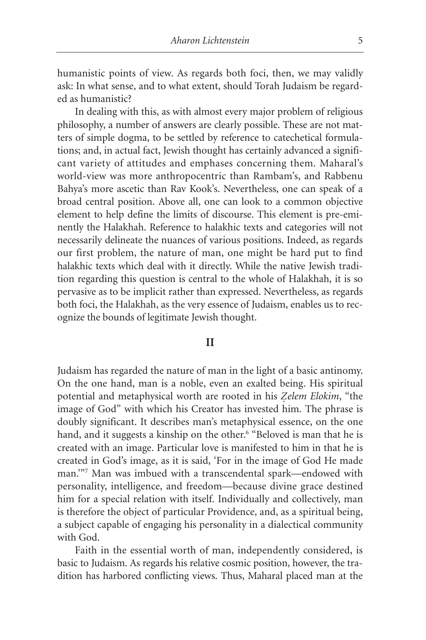humanistic points of view. As regards both foci, then, we may validly ask: In what sense, and to what extent, should Torah Judaism be regarded as humanistic?

In dealing with this, as with almost every major problem of religious philosophy, a number of answers are clearly possible. These are not matters of simple dogma, to be settled by reference to catechetical formulations; and, in actual fact, Jewish thought has certainly advanced a significant variety of attitudes and emphases concerning them. Maharal's world-view was more anthropocentric than Rambam's, and Rabbenu Bahya's more ascetic than Rav Kook's. Nevertheless, one can speak of a broad central position. Above all, one can look to a common objective element to help define the limits of discourse. This element is pre-eminently the Halakhah. Reference to halakhic texts and categories will not necessarily delineate the nuances of various positions. Indeed, as regards our first problem, the nature of man, one might be hard put to find halakhic texts which deal with it directly. While the native Jewish tradition regarding this question is central to the whole of Halakhah, it is so pervasive as to be implicit rather than expressed. Nevertheless, as regards both foci, the Halakhah, as the very essence of Judaism, enables us to recognize the bounds of legitimate Jewish thought.

#### **II**

Judaism has regarded the nature of man in the light of a basic antinomy. On the one hand, man is a noble, even an exalted being. His spiritual potential and metaphysical worth are rooted in his *Z.elem Elokim*, "the image of God" with which his Creator has invested him. The phrase is doubly significant. It describes man's metaphysical essence, on the one hand, and it suggests a kinship on the other.<sup>6</sup> "Beloved is man that he is created with an image. Particular love is manifested to him in that he is created in God's image, as it is said, 'For in the image of God He made man.'"7 Man was imbued with a transcendental spark—endowed with personality, intelligence, and freedom—because divine grace destined him for a special relation with itself. Individually and collectively, man is therefore the object of particular Providence, and, as a spiritual being, a subject capable of engaging his personality in a dialectical community with God.

Faith in the essential worth of man, independently considered, is basic to Judaism. As regards his relative cosmic position, however, the tradition has harbored conflicting views. Thus, Maharal placed man at the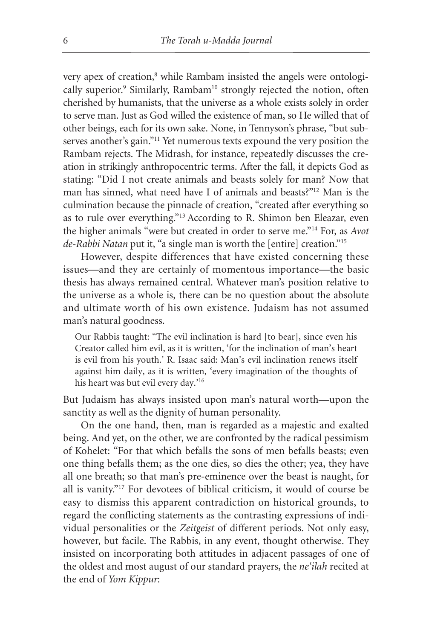very apex of creation,<sup>8</sup> while Rambam insisted the angels were ontologically superior.<sup>9</sup> Similarly, Rambam<sup>10</sup> strongly rejected the notion, often cherished by humanists, that the universe as a whole exists solely in order to serve man. Just as God willed the existence of man, so He willed that of other beings, each for its own sake. None, in Tennyson's phrase, "but subserves another's gain."<sup>11</sup> Yet numerous texts expound the very position the Rambam rejects. The Midrash, for instance, repeatedly discusses the creation in strikingly anthropocentric terms. After the fall, it depicts God as stating: "Did I not create animals and beasts solely for man? Now that man has sinned, what need have I of animals and beasts?"12 Man is the culmination because the pinnacle of creation, "created after everything so as to rule over everything."13 According to R. Shimon ben Eleazar, even the higher animals "were but created in order to serve me."14 For, as *Avot de-Rabbi Natan* put it, "a single man is worth the [entire] creation."15

However, despite differences that have existed concerning these issues—and they are certainly of momentous importance—the basic thesis has always remained central. Whatever man's position relative to the universe as a whole is, there can be no question about the absolute and ultimate worth of his own existence. Judaism has not assumed man's natural goodness.

Our Rabbis taught: "The evil inclination is hard [to bear], since even his Creator called him evil, as it is written, 'for the inclination of man's heart is evil from his youth.' R. Isaac said: Man's evil inclination renews itself against him daily, as it is written, 'every imagination of the thoughts of his heart was but evil every day.'16

But Judaism has always insisted upon man's natural worth—upon the sanctity as well as the dignity of human personality.

On the one hand, then, man is regarded as a majestic and exalted being. And yet, on the other, we are confronted by the radical pessimism of Kohelet: "For that which befalls the sons of men befalls beasts; even one thing befalls them; as the one dies, so dies the other; yea, they have all one breath; so that man's pre-eminence over the beast is naught, for all is vanity."17 For devotees of biblical criticism, it would of course be easy to dismiss this apparent contradiction on historical grounds, to regard the conflicting statements as the contrasting expressions of individual personalities or the *Zeitgeist* of different periods. Not only easy, however, but facile. The Rabbis, in any event, thought otherwise. They insisted on incorporating both attitudes in adjacent passages of one of the oldest and most august of our standard prayers, the *ne'ilah* recited at the end of *Yom Kippur*: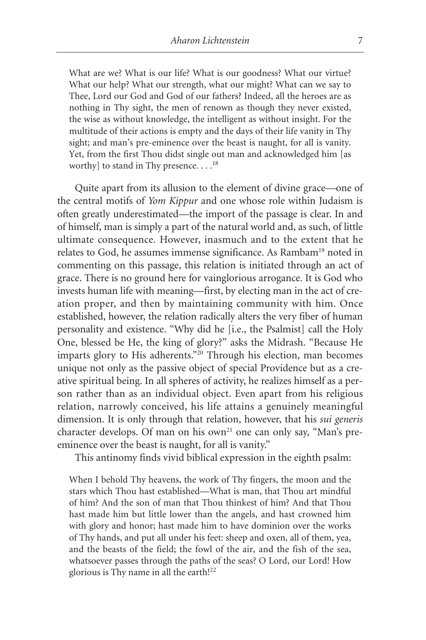What are we? What is our life? What is our goodness? What our virtue? What our help? What our strength, what our might? What can we say to Thee, Lord our God and God of our fathers? Indeed, all the heroes are as nothing in Thy sight, the men of renown as though they never existed, the wise as without knowledge, the intelligent as without insight. For the multitude of their actions is empty and the days of their life vanity in Thy sight; and man's pre-eminence over the beast is naught, for all is vanity. Yet, from the first Thou didst single out man and acknowledged him [as worthy] to stand in Thy presence.  $\dots^{18}$ 

Quite apart from its allusion to the element of divine grace—one of the central motifs of *Yom Kippur* and one whose role within Judaism is often greatly underestimated—the import of the passage is clear. In and of himself, man is simply a part of the natural world and, as such, of little ultimate consequence. However, inasmuch and to the extent that he relates to God, he assumes immense significance. As Rambam19 noted in commenting on this passage, this relation is initiated through an act of grace. There is no ground here for vainglorious arrogance. It is God who invests human life with meaning—first, by electing man in the act of creation proper, and then by maintaining community with him. Once established, however, the relation radically alters the very fiber of human personality and existence. "Why did he [i.e., the Psalmist] call the Holy One, blessed be He, the king of glory?" asks the Midrash. "Because He imparts glory to His adherents."20 Through his election, man becomes unique not only as the passive object of special Providence but as a creative spiritual being. In all spheres of activity, he realizes himself as a person rather than as an individual object. Even apart from his religious relation, narrowly conceived, his life attains a genuinely meaningful dimension. It is only through that relation, however, that his *sui generis* character develops. Of man on his own<sup>21</sup> one can only say, "Man's preeminence over the beast is naught, for all is vanity."

This antinomy finds vivid biblical expression in the eighth psalm:

When I behold Thy heavens, the work of Thy fingers, the moon and the stars which Thou hast established—What is man, that Thou art mindful of him? And the son of man that Thou thinkest of him? And that Thou hast made him but little lower than the angels, and hast crowned him with glory and honor; hast made him to have dominion over the works of Thy hands, and put all under his feet: sheep and oxen, all of them, yea, and the beasts of the field; the fowl of the air, and the fish of the sea, whatsoever passes through the paths of the seas? O Lord, our Lord! How glorious is Thy name in all the earth!<sup>22</sup>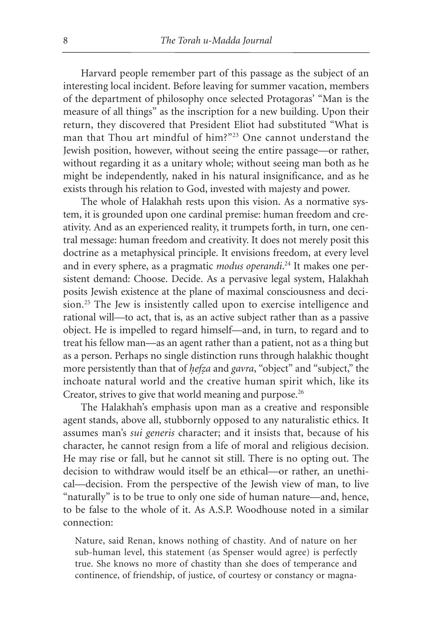Harvard people remember part of this passage as the subject of an interesting local incident. Before leaving for summer vacation, members of the department of philosophy once selected Protagoras' "Man is the measure of all things" as the inscription for a new building. Upon their return, they discovered that President Eliot had substituted "What is man that Thou art mindful of him?"23 One cannot understand the Jewish position, however, without seeing the entire passage—or rather, without regarding it as a unitary whole; without seeing man both as he might be independently, naked in his natural insignificance, and as he exists through his relation to God, invested with majesty and power.

The whole of Halakhah rests upon this vision. As a normative system, it is grounded upon one cardinal premise: human freedom and creativity. And as an experienced reality, it trumpets forth, in turn, one central message: human freedom and creativity. It does not merely posit this doctrine as a metaphysical principle. It envisions freedom, at every level and in every sphere, as a pragmatic *modus operandi*. <sup>24</sup> It makes one persistent demand: Choose. Decide. As a pervasive legal system, Halakhah posits Jewish existence at the plane of maximal consciousness and decision.25 The Jew is insistently called upon to exercise intelligence and rational will—to act, that is, as an active subject rather than as a passive object. He is impelled to regard himself—and, in turn, to regard and to treat his fellow man—as an agent rather than a patient, not as a thing but as a person. Perhaps no single distinction runs through halakhic thought more persistently than that of *hefza* and *gavra*, "object" and "subject," the inchoate natural world and the creative human spirit which, like its Creator, strives to give that world meaning and purpose.<sup>26</sup>

The Halakhah's emphasis upon man as a creative and responsible agent stands, above all, stubbornly opposed to any naturalistic ethics. It assumes man's *sui generis* character; and it insists that, because of his character, he cannot resign from a life of moral and religious decision. He may rise or fall, but he cannot sit still. There is no opting out. The decision to withdraw would itself be an ethical—or rather, an unethical—decision. From the perspective of the Jewish view of man, to live "naturally" is to be true to only one side of human nature—and, hence, to be false to the whole of it. As A.S.P. Woodhouse noted in a similar connection:

Nature, said Renan, knows nothing of chastity. And of nature on her sub-human level, this statement (as Spenser would agree) is perfectly true. She knows no more of chastity than she does of temperance and continence, of friendship, of justice, of courtesy or constancy or magna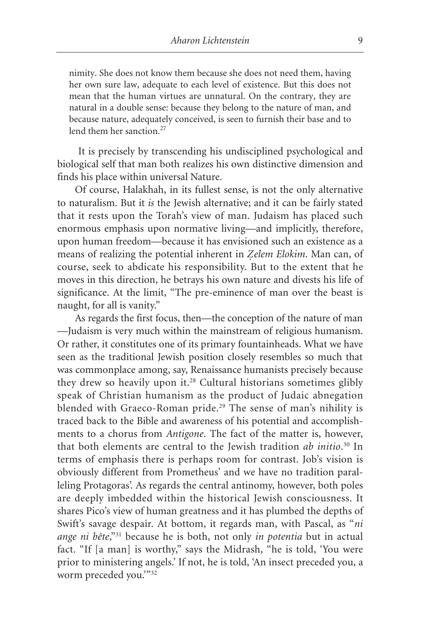nimity. She does not know them because she does not need them, having her own sure law, adequate to each level of existence. But this does not mean that the human virtues are unnatural. On the contrary, they are natural in a double sense: because they belong to the nature of man, and because nature, adequately conceived, is seen to furnish their base and to lend them her sanction.<sup>27</sup>

It is precisely by transcending his undisciplined psychological and biological self that man both realizes his own distinctive dimension and finds his place within universal Nature.

Of course, Halakhah, in its fullest sense, is not the only alternative to naturalism. But it *is* the Jewish alternative; and it can be fairly stated that it rests upon the Torah's view of man. Judaism has placed such enormous emphasis upon normative living—and implicitly, therefore, upon human freedom—because it has envisioned such an existence as a means of realizing the potential inherent in *Zelem Elokim*. Man can, of course, seek to abdicate his responsibility. But to the extent that he moves in this direction, he betrays his own nature and divests his life of significance. At the limit, "The pre-eminence of man over the beast is naught, for all is vanity."

As regards the first focus, then—the conception of the nature of man —Judaism is very much within the mainstream of religious humanism. Or rather, it constitutes one of its primary fountainheads. What we have seen as the traditional Jewish position closely resembles so much that was commonplace among, say, Renaissance humanists precisely because they drew so heavily upon it.<sup>28</sup> Cultural historians sometimes glibly speak of Christian humanism as the product of Judaic abnegation blended with Graeco-Roman pride.<sup>29</sup> The sense of man's nihility is traced back to the Bible and awareness of his potential and accomplishments to a chorus from *Antigone*. The fact of the matter is, however, that both elements are central to the Jewish tradition *ab initio*. <sup>30</sup> In terms of emphasis there is perhaps room for contrast. Job's vision is obviously different from Prometheus' and we have no tradition paralleling Protagoras'. As regards the central antinomy, however, both poles are deeply imbedded within the historical Jewish consciousness. It shares Pico's view of human greatness and it has plumbed the depths of Swift's savage despair. At bottom, it regards man, with Pascal, as "*ni ange ni bête*,"31 because he is both, not only *in potentia* but in actual fact. "If [a man] is worthy," says the Midrash, "he is told, 'You were prior to ministering angels.' If not, he is told, 'An insect preceded you, a worm preceded you."32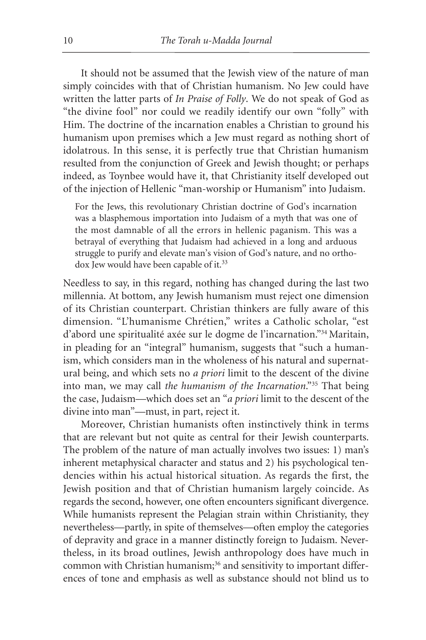It should not be assumed that the Jewish view of the nature of man simply coincides with that of Christian humanism. No Jew could have written the latter parts of *In Praise of Folly*. We do not speak of God as "the divine fool" nor could we readily identify our own "folly" with Him. The doctrine of the incarnation enables a Christian to ground his humanism upon premises which a Jew must regard as nothing short of idolatrous. In this sense, it is perfectly true that Christian humanism resulted from the conjunction of Greek and Jewish thought; or perhaps indeed, as Toynbee would have it, that Christianity itself developed out of the injection of Hellenic "man-worship or Humanism" into Judaism.

For the Jews, this revolutionary Christian doctrine of God's incarnation was a blasphemous importation into Judaism of a myth that was one of the most damnable of all the errors in hellenic paganism. This was a betrayal of everything that Judaism had achieved in a long and arduous struggle to purify and elevate man's vision of God's nature, and no orthodox Jew would have been capable of it.<sup>33</sup>

Needless to say, in this regard, nothing has changed during the last two millennia. At bottom, any Jewish humanism must reject one dimension of its Christian counterpart. Christian thinkers are fully aware of this dimension. "L'humanisme Chrétien," writes a Catholic scholar, "est d'abord une spiritualité axée sur le dogme de l'incarnation."34 Maritain, in pleading for an "integral" humanism, suggests that "such a humanism, which considers man in the wholeness of his natural and supernatural being, and which sets no *a priori* limit to the descent of the divine into man, we may call *the humanism of the Incarnation*."35 That being the case, Judaism—which does set an "*a priori* limit to the descent of the divine into man"—must, in part, reject it.

Moreover, Christian humanists often instinctively think in terms that are relevant but not quite as central for their Jewish counterparts. The problem of the nature of man actually involves two issues: 1) man's inherent metaphysical character and status and 2) his psychological tendencies within his actual historical situation. As regards the first, the Jewish position and that of Christian humanism largely coincide. As regards the second, however, one often encounters significant divergence. While humanists represent the Pelagian strain within Christianity, they nevertheless—partly, in spite of themselves—often employ the categories of depravity and grace in a manner distinctly foreign to Judaism. Nevertheless, in its broad outlines, Jewish anthropology does have much in common with Christian humanism;<sup>36</sup> and sensitivity to important differences of tone and emphasis as well as substance should not blind us to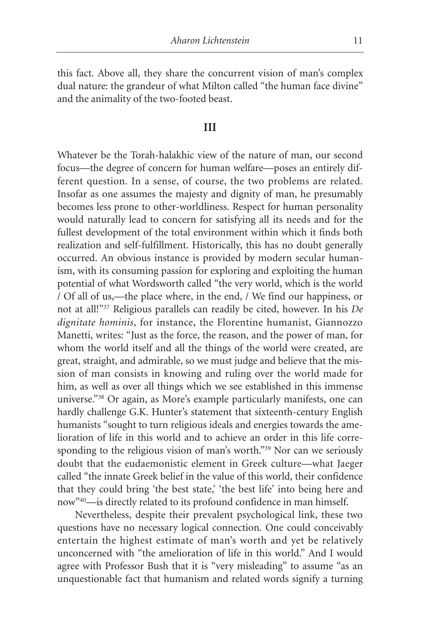this fact. Above all, they share the concurrent vision of man's complex dual nature: the grandeur of what Milton called "the human face divine" and the animality of the two-footed beast.

# **III**

Whatever be the Torah-halakhic view of the nature of man, our second focus—the degree of concern for human welfare—poses an entirely different question. In a sense, of course, the two problems are related. Insofar as one assumes the majesty and dignity of man, he presumably becomes less prone to other-worldliness. Respect for human personality would naturally lead to concern for satisfying all its needs and for the fullest development of the total environment within which it finds both realization and self-fulfillment. Historically, this has no doubt generally occurred. An obvious instance is provided by modern secular humanism, with its consuming passion for exploring and exploiting the human potential of what Wordsworth called "the very world, which is the world / Of all of us,—the place where, in the end, / We find our happiness, or not at all!"37 Religious parallels can readily be cited, however. In his *De dignitate hominis*, for instance, the Florentine humanist, Giannozzo Manetti, writes: "Just as the force, the reason, and the power of man, for whom the world itself and all the things of the world were created, are great, straight, and admirable, so we must judge and believe that the mission of man consists in knowing and ruling over the world made for him, as well as over all things which we see established in this immense universe."38 Or again, as More's example particularly manifests, one can hardly challenge G.K. Hunter's statement that sixteenth-century English humanists "sought to turn religious ideals and energies towards the amelioration of life in this world and to achieve an order in this life corresponding to the religious vision of man's worth."39 Nor can we seriously doubt that the eudaemonistic element in Greek culture—what Jaeger called "the innate Greek belief in the value of this world, their confidence that they could bring 'the best state,' 'the best life' into being here and now"40—is directly related to its profound confidence in man himself.

Nevertheless, despite their prevalent psychological link, these two questions have no necessary logical connection. One could conceivably entertain the highest estimate of man's worth and yet be relatively unconcerned with "the amelioration of life in this world." And I would agree with Professor Bush that it is "very misleading" to assume "as an unquestionable fact that humanism and related words signify a turning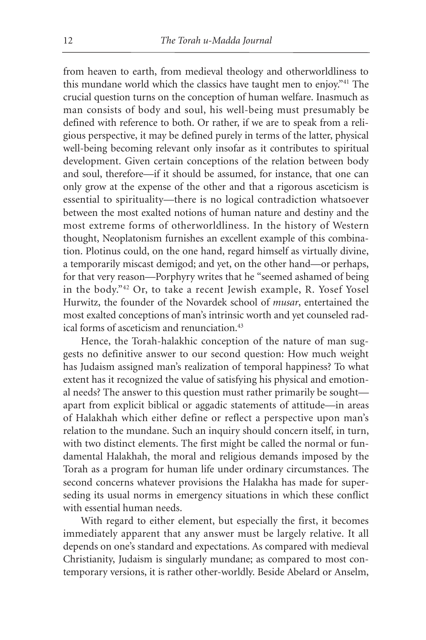from heaven to earth, from medieval theology and otherworldliness to this mundane world which the classics have taught men to enjoy."41 The crucial question turns on the conception of human welfare. Inasmuch as man consists of body and soul, his well-being must presumably be defined with reference to both. Or rather, if we are to speak from a religious perspective, it may be defined purely in terms of the latter, physical well-being becoming relevant only insofar as it contributes to spiritual development. Given certain conceptions of the relation between body and soul, therefore—if it should be assumed, for instance, that one can only grow at the expense of the other and that a rigorous asceticism is essential to spirituality—there is no logical contradiction whatsoever between the most exalted notions of human nature and destiny and the most extreme forms of otherworldliness. In the history of Western thought, Neoplatonism furnishes an excellent example of this combination. Plotinus could, on the one hand, regard himself as virtually divine, a temporarily miscast demigod; and yet, on the other hand—or perhaps, for that very reason—Porphyry writes that he "seemed ashamed of being in the body."42 Or, to take a recent Jewish example, R. Yosef Yosel Hurwitz, the founder of the Novardek school of *musar*, entertained the most exalted conceptions of man's intrinsic worth and yet counseled radical forms of asceticism and renunciation.<sup>43</sup>

Hence, the Torah-halakhic conception of the nature of man suggests no definitive answer to our second question: How much weight has Judaism assigned man's realization of temporal happiness? To what extent has it recognized the value of satisfying his physical and emotional needs? The answer to this question must rather primarily be sought apart from explicit biblical or aggadic statements of attitude—in areas of Halakhah which either define or reflect a perspective upon man's relation to the mundane. Such an inquiry should concern itself, in turn, with two distinct elements. The first might be called the normal or fundamental Halakhah, the moral and religious demands imposed by the Torah as a program for human life under ordinary circumstances. The second concerns whatever provisions the Halakha has made for superseding its usual norms in emergency situations in which these conflict with essential human needs.

With regard to either element, but especially the first, it becomes immediately apparent that any answer must be largely relative. It all depends on one's standard and expectations. As compared with medieval Christianity, Judaism is singularly mundane; as compared to most contemporary versions, it is rather other-worldly. Beside Abelard or Anselm,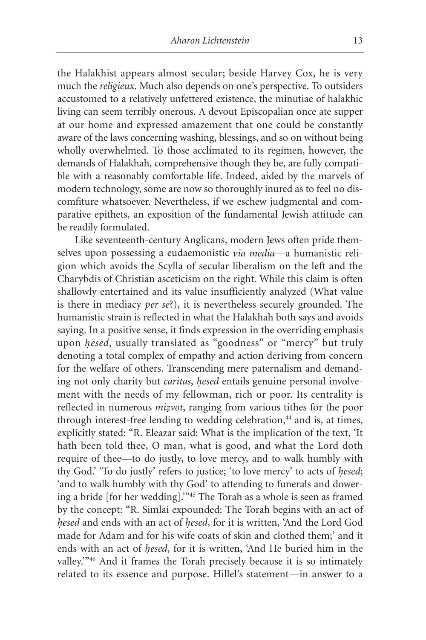the Halakhist appears almost secular; beside Harvey Cox, he is very much the *religieux*. Much also depends on one's perspective. To outsiders accustomed to a relatively unfettered existence, the minutiae of halakhic living can seem terribly onerous. A devout Episcopalian once ate supper at our home and expressed amazement that one could be constantly aware of the laws concerning washing, blessings, and so on without being wholly overwhelmed. To those acclimated to its regimen, however, the demands of Halakhah, comprehensive though they be, are fully compatible with a reasonably comfortable life. Indeed, aided by the marvels of modern technology, some are now so thoroughly inured as to feel no discomfiture whatsoever. Nevertheless, if we eschew judgmental and comparative epithets, an exposition of the fundamental Jewish attitude can be readily formulated.

Like seventeenth-century Anglicans, modern Jews often pride themselves upon possessing a eudaemonistic *via media*—a humanistic religion which avoids the Scylla of secular liberalism on the left and the Charybdis of Christian asceticism on the right. While this claim is often shallowly entertained and its value insufficiently analyzed (What value is there in mediacy *per se*?), it is nevertheless securely grounded. The humanistic strain is reflected in what the Halakhah both says and avoids saying. In a positive sense, it finds expression in the overriding emphasis upon *hesed*, usually translated as "goodness" or "mercy" but truly denoting a total complex of empathy and action deriving from concern for the welfare of others. Transcending mere paternalism and demanding not only charity but *caritas*, *hesed* entails genuine personal involvement with the needs of my fellowman, rich or poor. Its centrality is reflected in numerous *mizvot*, ranging from various tithes for the poor through interest-free lending to wedding celebration,<sup>44</sup> and is, at times, explicitly stated: "R. Eleazar said: What is the implication of the text, 'It hath been told thee, O man, what is good, and what the Lord doth require of thee—to do justly, to love mercy, and to walk humbly with thy God.' 'To do justly' refers to justice; 'to love mercy' to acts of *hesed*; 'and to walk humbly with thy God' to attending to funerals and dowering a bride [for her wedding].'"45 The Torah as a whole is seen as framed by the concept: "R. Simlai expounded: The Torah begins with an act of *h.esed* and ends with an act of *h.esed*, for it is written, 'And the Lord God made for Adam and for his wife coats of skin and clothed them;' and it ends with an act of *hesed*, for it is written, 'And He buried him in the valley.'"46 And it frames the Torah precisely because it is so intimately related to its essence and purpose. Hillel's statement—in answer to a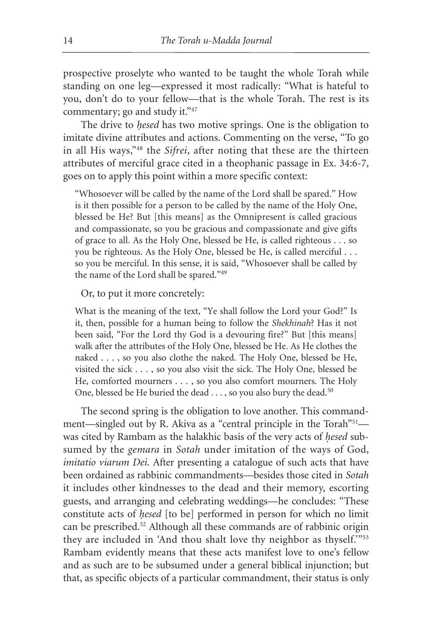prospective proselyte who wanted to be taught the whole Torah while standing on one leg—expressed it most radically: "What is hateful to you, don't do to your fellow—that is the whole Torah. The rest is its commentary; go and study it."47

The drive to *hesed* has two motive springs. One is the obligation to imitate divine attributes and actions. Commenting on the verse, "To go in all His ways,"48 the *Sifrei*, after noting that these are the thirteen attributes of merciful grace cited in a theophanic passage in Ex. 34:6-7, goes on to apply this point within a more specific context:

"Whosoever will be called by the name of the Lord shall be spared." How is it then possible for a person to be called by the name of the Holy One, blessed be He? But [this means] as the Omnipresent is called gracious and compassionate, so you be gracious and compassionate and give gifts of grace to all. As the Holy One, blessed be He, is called righteous . . . so you be righteous. As the Holy One, blessed be He, is called merciful . . . so you be merciful. In this sense, it is said, "Whosoever shall be called by the name of the Lord shall be spared."<sup>49</sup>

#### Or, to put it more concretely:

What is the meaning of the text, "Ye shall follow the Lord your God?" Is it, then, possible for a human being to follow the *Shekhinah*? Has it not been said, "For the Lord thy God is a devouring fire?" But [this means] walk after the attributes of the Holy One, blessed be He. As He clothes the naked . . . , so you also clothe the naked. The Holy One, blessed be He, visited the sick . . . , so you also visit the sick. The Holy One, blessed be He, comforted mourners . . . , so you also comfort mourners. The Holy One, blessed be He buried the dead . . . , so you also bury the dead.<sup>50</sup>

The second spring is the obligation to love another. This commandment—singled out by R. Akiva as a "central principle in the Torah"<sup>51</sup> was cited by Rambam as the halakhic basis of the very acts of *hesed* subsumed by the *gemara* in *Sotah* under imitation of the ways of God, *imitatio viarum Dei*. After presenting a catalogue of such acts that have been ordained as rabbinic commandments—besides those cited in *Sotah* it includes other kindnesses to the dead and their memory, escorting guests, and arranging and celebrating weddings—he concludes: "These constitute acts of *hesed* [to be] performed in person for which no limit can be prescribed.52 Although all these commands are of rabbinic origin they are included in 'And thou shalt love thy neighbor as thyself.'"<sup>53</sup> Rambam evidently means that these acts manifest love to one's fellow and as such are to be subsumed under a general biblical injunction; but that, as specific objects of a particular commandment, their status is only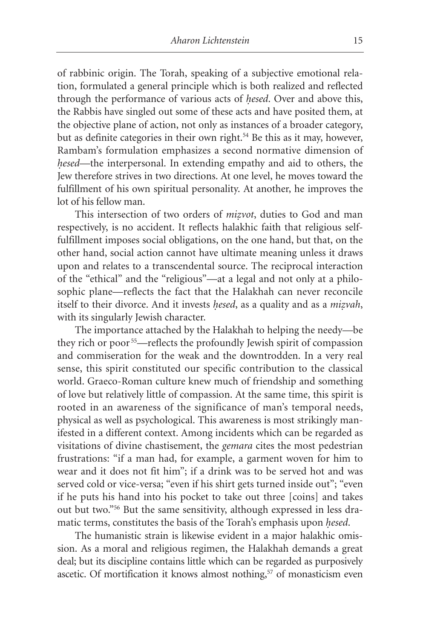of rabbinic origin. The Torah, speaking of a subjective emotional relation, formulated a general principle which is both realized and reflected through the performance of various acts of *hesed*. Over and above this, the Rabbis have singled out some of these acts and have posited them, at the objective plane of action, not only as instances of a broader category, but as definite categories in their own right.<sup>54</sup> Be this as it may, however, Rambam's formulation emphasizes a second normative dimension of *hesed*—the interpersonal. In extending empathy and aid to others, the Jew therefore strives in two directions. At one level, he moves toward the fulfillment of his own spiritual personality. At another, he improves the lot of his fellow man.

This intersection of two orders of *mizvot*, duties to God and man respectively, is no accident. It reflects halakhic faith that religious selffulfillment imposes social obligations, on the one hand, but that, on the other hand, social action cannot have ultimate meaning unless it draws upon and relates to a transcendental source. The reciprocal interaction of the "ethical" and the "religious"—at a legal and not only at a philosophic plane—reflects the fact that the Halakhah can never reconcile itself to their divorce. And it invests *hesed*, as a quality and as a *mizvah*, with its singularly Jewish character.

The importance attached by the Halakhah to helping the needy—be they rich or poor 55—reflects the profoundly Jewish spirit of compassion and commiseration for the weak and the downtrodden. In a very real sense, this spirit constituted our specific contribution to the classical world. Graeco-Roman culture knew much of friendship and something of love but relatively little of compassion. At the same time, this spirit is rooted in an awareness of the significance of man's temporal needs, physical as well as psychological. This awareness is most strikingly manifested in a different context. Among incidents which can be regarded as visitations of divine chastisement, the *gemara* cites the most pedestrian frustrations: "if a man had, for example, a garment woven for him to wear and it does not fit him"; if a drink was to be served hot and was served cold or vice-versa; "even if his shirt gets turned inside out"; "even if he puts his hand into his pocket to take out three [coins] and takes out but two."56 But the same sensitivity, although expressed in less dramatic terms, constitutes the basis of the Torah's emphasis upon *hesed*.

The humanistic strain is likewise evident in a major halakhic omission. As a moral and religious regimen, the Halakhah demands a great deal; but its discipline contains little which can be regarded as purposively ascetic. Of mortification it knows almost nothing,<sup>57</sup> of monasticism even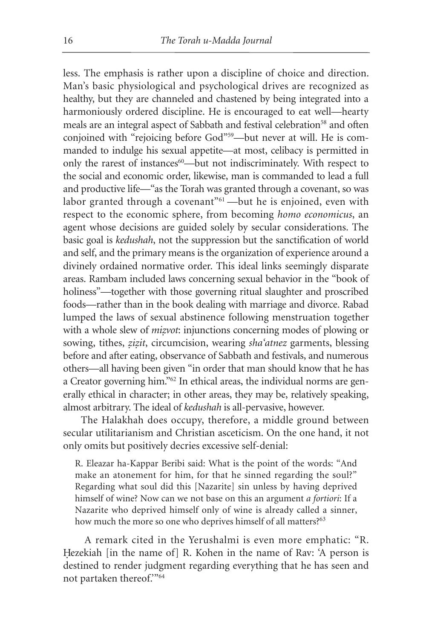less. The emphasis is rather upon a discipline of choice and direction. Man's basic physiological and psychological drives are recognized as healthy, but they are channeled and chastened by being integrated into a harmoniously ordered discipline. He is encouraged to eat well—hearty meals are an integral aspect of Sabbath and festival celebration<sup>58</sup> and often conjoined with "rejoicing before God"59—but never at will. He is commanded to indulge his sexual appetite—at most, celibacy is permitted in only the rarest of instances<sup>60</sup>—but not indiscriminately. With respect to the social and economic order, likewise, man is commanded to lead a full and productive life—"as the Torah was granted through a covenant, so was labor granted through a covenant"<sup>61</sup> —but he is enjoined, even with respect to the economic sphere, from becoming *homo economicus*, an agent whose decisions are guided solely by secular considerations. The basic goal is *kedushah*, not the suppression but the sanctification of world and self, and the primary means is the organization of experience around a divinely ordained normative order. This ideal links seemingly disparate areas. Rambam included laws concerning sexual behavior in the "book of holiness"—together with those governing ritual slaughter and proscribed foods—rather than in the book dealing with marriage and divorce. Rabad lumped the laws of sexual abstinence following menstruation together with a whole slew of *mizvot*: injunctions concerning modes of plowing or sowing, tithes, *zizit*, circumcision, wearing *sha'atnez* garments, blessing before and after eating, observance of Sabbath and festivals, and numerous others—all having been given "in order that man should know that he has a Creator governing him."62 In ethical areas, the individual norms are generally ethical in character; in other areas, they may be, relatively speaking, almost arbitrary. The ideal of *kedushah* is all-pervasive, however.

The Halakhah does occupy, therefore, a middle ground between secular utilitarianism and Christian asceticism. On the one hand, it not only omits but positively decries excessive self-denial:

R. Eleazar ha-Kappar Beribi said: What is the point of the words: "And make an atonement for him, for that he sinned regarding the soul?" Regarding what soul did this [Nazarite] sin unless by having deprived himself of wine? Now can we not base on this an argument *a fortiori*: If a Nazarite who deprived himself only of wine is already called a sinner, how much the more so one who deprives himself of all matters?<sup>63</sup>

A remark cited in the Yerushalmi is even more emphatic: "R. Hezekiah [in the name of] R. Kohen in the name of Rav: 'A person is destined to render judgment regarding everything that he has seen and not partaken thereof."<sup>64</sup>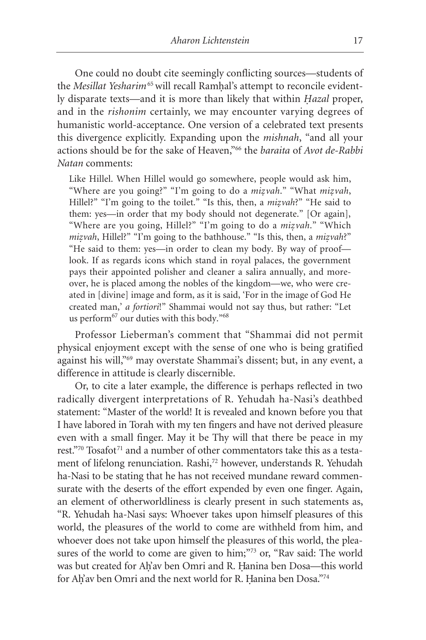One could no doubt cite seemingly conflicting sources—students of the *Mesillat Yesharim*<sup>65</sup> will recall Ramhal's attempt to reconcile evidently disparate texts—and it is more than likely that within *Hazal* proper, and in the *rishonim* certainly, we may encounter varying degrees of humanistic world-acceptance. One version of a celebrated text presents this divergence explicitly. Expanding upon the *mishnah*, "and all your actions should be for the sake of Heaven,"66 the *baraita* of *Avot de-Rabbi Natan* comments:

Like Hillel. When Hillel would go somewhere, people would ask him, "Where are you going?" "I'm going to do a *mizvah*." "What *mizvah*, Hillel?" "I'm going to the toilet." "Is this, then, a *mizyah*?" "He said to them: yes—in order that my body should not degenerate." [Or again], "Where are you going, Hillel?" "I'm going to do a *mizyah*." "Which *mizvah*, Hillel?" "I'm going to the bathhouse." "Is this, then, a *mizvah*?" "He said to them: yes—in order to clean my body. By way of proof look. If as regards icons which stand in royal palaces, the government pays their appointed polisher and cleaner a salira annually, and moreover, he is placed among the nobles of the kingdom—we, who were created in [divine] image and form, as it is said, 'For in the image of God He created man,' *a fortiori*!" Shammai would not say thus, but rather: "Let us perform<sup>67</sup> our duties with this body."<sup>68</sup>

Professor Lieberman's comment that "Shammai did not permit physical enjoyment except with the sense of one who is being gratified against his will,"69 may overstate Shammai's dissent; but, in any event, a difference in attitude is clearly discernible.

Or, to cite a later example, the difference is perhaps reflected in two radically divergent interpretations of R. Yehudah ha-Nasi's deathbed statement: "Master of the world! It is revealed and known before you that I have labored in Torah with my ten fingers and have not derived pleasure even with a small finger. May it be Thy will that there be peace in my rest."70 Tosafot<sup>71</sup> and a number of other commentators take this as a testament of lifelong renunciation. Rashi,<sup>72</sup> however, understands R. Yehudah ha-Nasi to be stating that he has not received mundane reward commensurate with the deserts of the effort expended by even one finger. Again, an element of otherworldliness is clearly present in such statements as, "R. Yehudah ha-Nasi says: Whoever takes upon himself pleasures of this world, the pleasures of the world to come are withheld from him, and whoever does not take upon himself the pleasures of this world, the pleasures of the world to come are given to him;"73 or, "Rav said: The world was but created for Ah'av ben Omri and R. Hanina ben Dosa—this world for Ah'av ben Omri and the next world for R. Hanina ben Dosa."74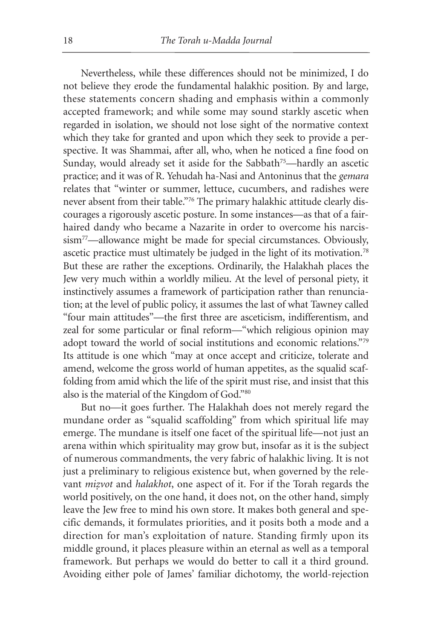Nevertheless, while these differences should not be minimized, I do not believe they erode the fundamental halakhic position. By and large, these statements concern shading and emphasis within a commonly accepted framework; and while some may sound starkly ascetic when regarded in isolation, we should not lose sight of the normative context which they take for granted and upon which they seek to provide a perspective. It was Shammai, after all, who, when he noticed a fine food on Sunday, would already set it aside for the Sabbath<sup>75</sup>—hardly an ascetic practice; and it was of R. Yehudah ha-Nasi and Antoninus that the *gemara* relates that "winter or summer, lettuce, cucumbers, and radishes were never absent from their table."76 The primary halakhic attitude clearly discourages a rigorously ascetic posture. In some instances—as that of a fairhaired dandy who became a Nazarite in order to overcome his narcissism77—allowance might be made for special circumstances. Obviously, ascetic practice must ultimately be judged in the light of its motivation.78 But these are rather the exceptions. Ordinarily, the Halakhah places the Jew very much within a worldly milieu. At the level of personal piety, it instinctively assumes a framework of participation rather than renunciation; at the level of public policy, it assumes the last of what Tawney called "four main attitudes"—the first three are asceticism, indifferentism, and zeal for some particular or final reform—"which religious opinion may adopt toward the world of social institutions and economic relations."79 Its attitude is one which "may at once accept and criticize, tolerate and amend, welcome the gross world of human appetites, as the squalid scaffolding from amid which the life of the spirit must rise, and insist that this also is the material of the Kingdom of God."80

But no—it goes further. The Halakhah does not merely regard the mundane order as "squalid scaffolding" from which spiritual life may emerge. The mundane is itself one facet of the spiritual life—not just an arena within which spirituality may grow but, insofar as it is the subject of numerous commandments, the very fabric of halakhic living. It is not just a preliminary to religious existence but, when governed by the relevant *mizvot* and *halakhot*, one aspect of it. For if the Torah regards the world positively, on the one hand, it does not, on the other hand, simply leave the Jew free to mind his own store. It makes both general and specific demands, it formulates priorities, and it posits both a mode and a direction for man's exploitation of nature. Standing firmly upon its middle ground, it places pleasure within an eternal as well as a temporal framework. But perhaps we would do better to call it a third ground. Avoiding either pole of James' familiar dichotomy, the world-rejection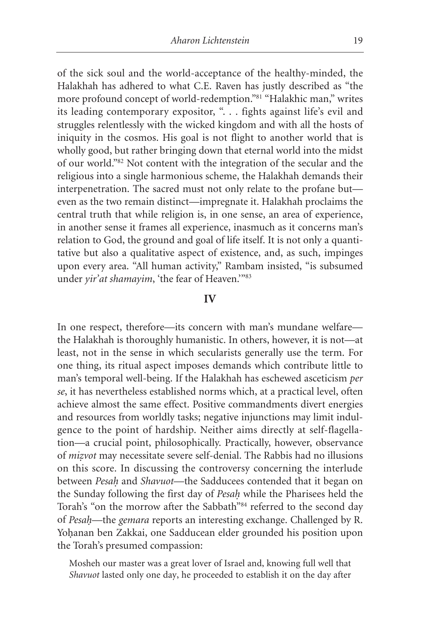of the sick soul and the world-acceptance of the healthy-minded, the Halakhah has adhered to what C.E. Raven has justly described as "the more profound concept of world-redemption."81 "Halakhic man," writes its leading contemporary expositor, ". . . fights against life's evil and struggles relentlessly with the wicked kingdom and with all the hosts of iniquity in the cosmos. His goal is not flight to another world that is wholly good, but rather bringing down that eternal world into the midst of our world."82 Not content with the integration of the secular and the religious into a single harmonious scheme, the Halakhah demands their interpenetration. The sacred must not only relate to the profane but even as the two remain distinct—impregnate it. Halakhah proclaims the central truth that while religion is, in one sense, an area of experience, in another sense it frames all experience, inasmuch as it concerns man's relation to God, the ground and goal of life itself. It is not only a quantitative but also a qualitative aspect of existence, and, as such, impinges upon every area. "All human activity," Rambam insisted, "is subsumed under *yir'at shamayim*, 'the fear of Heaven.'"83

# **IV**

In one respect, therefore—its concern with man's mundane welfare the Halakhah is thoroughly humanistic. In others, however, it is not—at least, not in the sense in which secularists generally use the term. For one thing, its ritual aspect imposes demands which contribute little to man's temporal well-being. If the Halakhah has eschewed asceticism *per se*, it has nevertheless established norms which, at a practical level, often achieve almost the same effect. Positive commandments divert energies and resources from worldly tasks; negative injunctions may limit indulgence to the point of hardship. Neither aims directly at self-flagellation—a crucial point, philosophically. Practically, however, observance of *mizvot* may necessitate severe self-denial. The Rabbis had no illusions on this score. In discussing the controversy concerning the interlude between *Pesah.* and *Shavuot*—the Sadducees contended that it began on the Sunday following the first day of *Pesah.* while the Pharisees held the Torah's "on the morrow after the Sabbath"<sup>84</sup> referred to the second day of *Pesah.*—the *gemara* reports an interesting exchange. Challenged by R. Yohanan ben Zakkai, one Sadducean elder grounded his position upon the Torah's presumed compassion:

Mosheh our master was a great lover of Israel and, knowing full well that *Shavuot* lasted only one day, he proceeded to establish it on the day after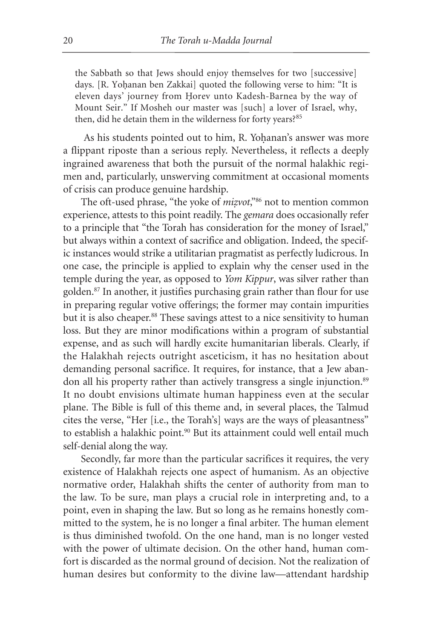the Sabbath so that Jews should enjoy themselves for two [successive] days. [R. Yohanan ben Zakkai] quoted the following verse to him: "It is eleven days' journey from Horev unto Kadesh-Barnea by the way of Mount Seir." If Mosheh our master was [such] a lover of Israel, why, then, did he detain them in the wilderness for forty years?<sup>85</sup>

As his students pointed out to him, R. Yohanan's answer was more a flippant riposte than a serious reply. Nevertheless, it reflects a deeply ingrained awareness that both the pursuit of the normal halakhic regimen and, particularly, unswerving commitment at occasional moments of crisis can produce genuine hardship.

The oft-used phrase, "the yoke of *mizvot*,"<sup>86</sup> not to mention common experience, attests to this point readily. The *gemara* does occasionally refer to a principle that "the Torah has consideration for the money of Israel," but always within a context of sacrifice and obligation. Indeed, the specific instances would strike a utilitarian pragmatist as perfectly ludicrous. In one case, the principle is applied to explain why the censer used in the temple during the year, as opposed to *Yom Kippur*, was silver rather than golden.87 In another, it justifies purchasing grain rather than flour for use in preparing regular votive offerings; the former may contain impurities but it is also cheaper.<sup>88</sup> These savings attest to a nice sensitivity to human loss. But they are minor modifications within a program of substantial expense, and as such will hardly excite humanitarian liberals. Clearly, if the Halakhah rejects outright asceticism, it has no hesitation about demanding personal sacrifice. It requires, for instance, that a Jew abandon all his property rather than actively transgress a single injunction.<sup>89</sup> It no doubt envisions ultimate human happiness even at the secular plane. The Bible is full of this theme and, in several places, the Talmud cites the verse, "Her [i.e., the Torah's] ways are the ways of pleasantness" to establish a halakhic point.<sup>90</sup> But its attainment could well entail much self-denial along the way.

Secondly, far more than the particular sacrifices it requires, the very existence of Halakhah rejects one aspect of humanism. As an objective normative order, Halakhah shifts the center of authority from man to the law. To be sure, man plays a crucial role in interpreting and, to a point, even in shaping the law. But so long as he remains honestly committed to the system, he is no longer a final arbiter. The human element is thus diminished twofold. On the one hand, man is no longer vested with the power of ultimate decision. On the other hand, human comfort is discarded as the normal ground of decision. Not the realization of human desires but conformity to the divine law—attendant hardship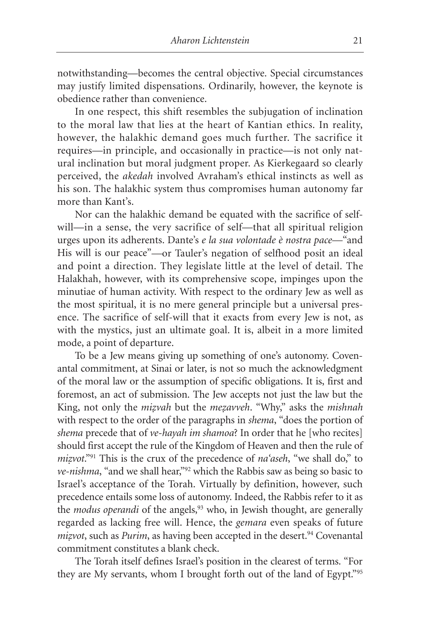notwithstanding—becomes the central objective. Special circumstances may justify limited dispensations. Ordinarily, however, the keynote is obedience rather than convenience.

In one respect, this shift resembles the subjugation of inclination to the moral law that lies at the heart of Kantian ethics. In reality, however, the halakhic demand goes much further. The sacrifice it requires—in principle, and occasionally in practice—is not only natural inclination but moral judgment proper. As Kierkegaard so clearly perceived, the *akedah* involved Avraham's ethical instincts as well as his son. The halakhic system thus compromises human autonomy far more than Kant's.

Nor can the halakhic demand be equated with the sacrifice of selfwill—in a sense, the very sacrifice of self—that all spiritual religion urges upon its adherents. Dante's *e la sua volontade è nostra pace—*"and His will is our peace"*—*or Tauler's negation of selfhood posit an ideal and point a direction. They legislate little at the level of detail. The Halakhah, however, with its comprehensive scope, impinges upon the minutiae of human activity. With respect to the ordinary Jew as well as the most spiritual, it is no mere general principle but a universal presence. The sacrifice of self-will that it exacts from every Jew is not, as with the mystics, just an ultimate goal. It is, albeit in a more limited mode, a point of departure.

To be a Jew means giving up something of one's autonomy. Covenantal commitment, at Sinai or later, is not so much the acknowledgment of the moral law or the assumption of specific obligations. It is, first and foremost, an act of submission. The Jew accepts not just the law but the King, not only the *mizvah* but the *mezavveh*. "Why," asks the *mishnah* with respect to the order of the paragraphs in *shema*, "does the portion of *shema* precede that of *ve-hayah im shamoa*? In order that he [who recites] should first accept the rule of the Kingdom of Heaven and then the rule of *mizvot.*"<sup>91</sup> This is the crux of the precedence of *na'aseh*, "we shall do," to *ve-nishma*, "and we shall hear,"92 which the Rabbis saw as being so basic to Israel's acceptance of the Torah. Virtually by definition, however, such precedence entails some loss of autonomy. Indeed, the Rabbis refer to it as the *modus operandi* of the angels,<sup>93</sup> who, in Jewish thought, are generally regarded as lacking free will. Hence, the *gemara* even speaks of future *mizvot*, such as *Purim*, as having been accepted in the desert.<sup>94</sup> Covenantal commitment constitutes a blank check.

The Torah itself defines Israel's position in the clearest of terms. "For they are My servants, whom I brought forth out of the land of Egypt."95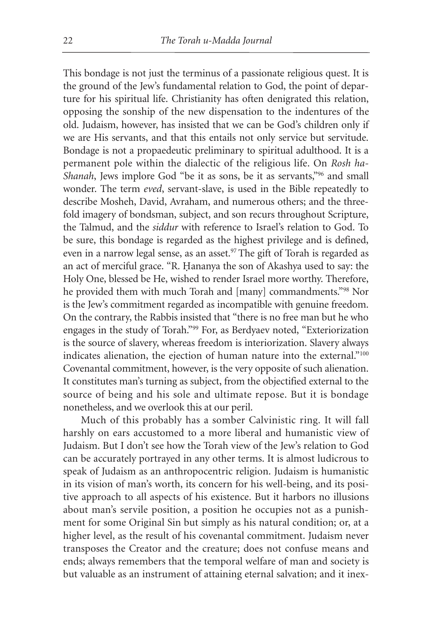This bondage is not just the terminus of a passionate religious quest. It is the ground of the Jew's fundamental relation to God, the point of departure for his spiritual life. Christianity has often denigrated this relation, opposing the sonship of the new dispensation to the indentures of the old. Judaism, however, has insisted that we can be God's children only if we are His servants, and that this entails not only service but servitude. Bondage is not a propaedeutic preliminary to spiritual adulthood. It is a permanent pole within the dialectic of the religious life. On *Rosh ha-Shanah*, Jews implore God "be it as sons, be it as servants,"96 and small wonder. The term *eved*, servant-slave, is used in the Bible repeatedly to describe Mosheh, David, Avraham, and numerous others; and the threefold imagery of bondsman, subject, and son recurs throughout Scripture, the Talmud, and the *siddur* with reference to Israel's relation to God. To be sure, this bondage is regarded as the highest privilege and is defined, even in a narrow legal sense, as an asset.<sup>97</sup> The gift of Torah is regarded as an act of merciful grace. "R. Hananya the son of Akashya used to say: the Holy One, blessed be He, wished to render Israel more worthy. Therefore, he provided them with much Torah and [many] commandments."98 Nor is the Jew's commitment regarded as incompatible with genuine freedom. On the contrary, the Rabbis insisted that "there is no free man but he who engages in the study of Torah."99 For, as Berdyaev noted, "Exteriorization is the source of slavery, whereas freedom is interiorization. Slavery always indicates alienation, the ejection of human nature into the external."100 Covenantal commitment, however, is the very opposite of such alienation. It constitutes man's turning as subject, from the objectified external to the source of being and his sole and ultimate repose. But it is bondage nonetheless, and we overlook this at our peril.

Much of this probably has a somber Calvinistic ring. It will fall harshly on ears accustomed to a more liberal and humanistic view of Judaism. But I don't see how the Torah view of the Jew's relation to God can be accurately portrayed in any other terms. It is almost ludicrous to speak of Judaism as an anthropocentric religion. Judaism is humanistic in its vision of man's worth, its concern for his well-being, and its positive approach to all aspects of his existence. But it harbors no illusions about man's servile position, a position he occupies not as a punishment for some Original Sin but simply as his natural condition; or, at a higher level, as the result of his covenantal commitment. Judaism never transposes the Creator and the creature; does not confuse means and ends; always remembers that the temporal welfare of man and society is but valuable as an instrument of attaining eternal salvation; and it inex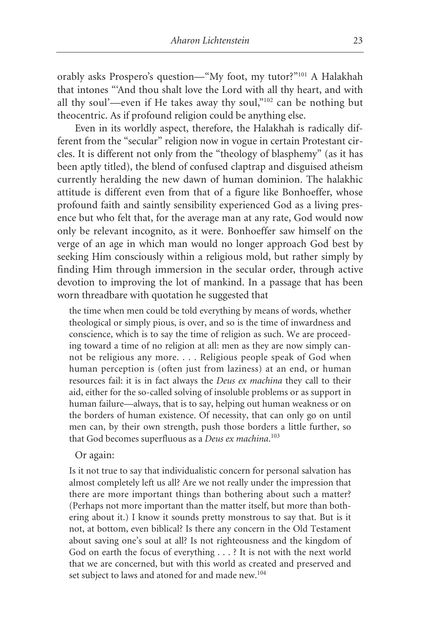orably asks Prospero's question—"My foot, my tutor?"101 A Halakhah that intones "'And thou shalt love the Lord with all thy heart, and with all thy soul'—even if He takes away thy soul,"102 can be nothing but theocentric. As if profound religion could be anything else.

Even in its worldly aspect, therefore, the Halakhah is radically different from the "secular" religion now in vogue in certain Protestant circles. It is different not only from the "theology of blasphemy" (as it has been aptly titled), the blend of confused claptrap and disguised atheism currently heralding the new dawn of human dominion. The halakhic attitude is different even from that of a figure like Bonhoeffer, whose profound faith and saintly sensibility experienced God as a living presence but who felt that, for the average man at any rate, God would now only be relevant incognito, as it were. Bonhoeffer saw himself on the verge of an age in which man would no longer approach God best by seeking Him consciously within a religious mold, but rather simply by finding Him through immersion in the secular order, through active devotion to improving the lot of mankind. In a passage that has been worn threadbare with quotation he suggested that

the time when men could be told everything by means of words, whether theological or simply pious, is over, and so is the time of inwardness and conscience, which is to say the time of religion as such. We are proceeding toward a time of no religion at all: men as they are now simply cannot be religious any more. . . . Religious people speak of God when human perception is (often just from laziness) at an end, or human resources fail: it is in fact always the *Deus ex machina* they call to their aid, either for the so-called solving of insoluble problems or as support in human failure—always, that is to say, helping out human weakness or on the borders of human existence. Of necessity, that can only go on until men can, by their own strength, push those borders a little further, so that God becomes superfluous as a *Deus ex machina*. 103

# Or again:

Is it not true to say that individualistic concern for personal salvation has almost completely left us all? Are we not really under the impression that there are more important things than bothering about such a matter? (Perhaps not more important than the matter itself, but more than bothering about it.) I know it sounds pretty monstrous to say that. But is it not, at bottom, even biblical? Is there any concern in the Old Testament about saving one's soul at all? Is not righteousness and the kingdom of God on earth the focus of everything . . . ? It is not with the next world that we are concerned, but with this world as created and preserved and set subject to laws and atoned for and made new.<sup>104</sup>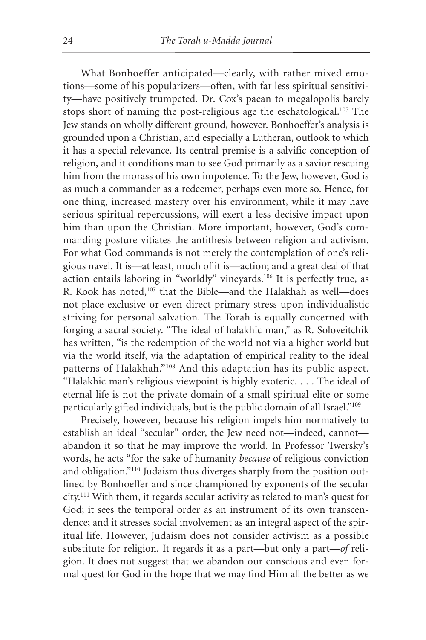What Bonhoeffer anticipated—clearly, with rather mixed emotions—some of his popularizers—often, with far less spiritual sensitivity—have positively trumpeted. Dr. Cox's paean to megalopolis barely stops short of naming the post-religious age the eschatological.105 The Jew stands on wholly different ground, however. Bonhoeffer's analysis is grounded upon a Christian, and especially a Lutheran, outlook to which it has a special relevance. Its central premise is a salvific conception of religion, and it conditions man to see God primarily as a savior rescuing him from the morass of his own impotence. To the Jew, however, God is as much a commander as a redeemer, perhaps even more so. Hence, for one thing, increased mastery over his environment, while it may have serious spiritual repercussions, will exert a less decisive impact upon him than upon the Christian. More important, however, God's commanding posture vitiates the antithesis between religion and activism. For what God commands is not merely the contemplation of one's religious navel. It is—at least, much of it is—action; and a great deal of that action entails laboring in "worldly" vineyards.106 It is perfectly true, as R. Kook has noted,107 that the Bible—and the Halakhah as well—does not place exclusive or even direct primary stress upon individualistic striving for personal salvation. The Torah is equally concerned with forging a sacral society. "The ideal of halakhic man," as R. Soloveitchik has written, "is the redemption of the world not via a higher world but via the world itself, via the adaptation of empirical reality to the ideal patterns of Halakhah."108 And this adaptation has its public aspect. "Halakhic man's religious viewpoint is highly exoteric. . . . The ideal of eternal life is not the private domain of a small spiritual elite or some particularly gifted individuals, but is the public domain of all Israel."109

Precisely, however, because his religion impels him normatively to establish an ideal "secular" order, the Jew need not—indeed, cannot abandon it so that he may improve the world. In Professor Twersky's words, he acts "for the sake of humanity *because* of religious conviction and obligation."110 Judaism thus diverges sharply from the position outlined by Bonhoeffer and since championed by exponents of the secular city.111 With them, it regards secular activity as related to man's quest for God; it sees the temporal order as an instrument of its own transcendence; and it stresses social involvement as an integral aspect of the spiritual life. However, Judaism does not consider activism as a possible substitute for religion. It regards it as a part—but only a part—*of* religion. It does not suggest that we abandon our conscious and even formal quest for God in the hope that we may find Him all the better as we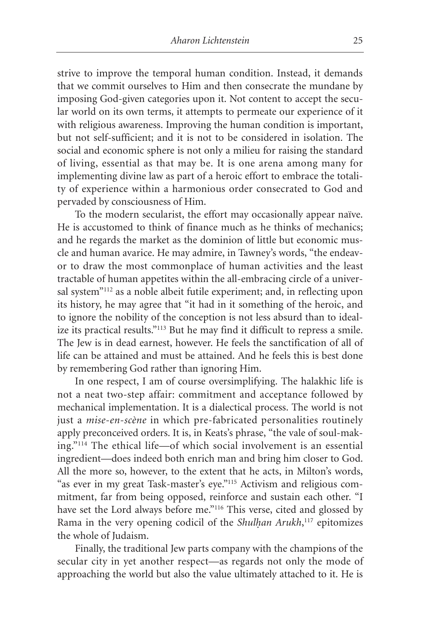strive to improve the temporal human condition. Instead, it demands that we commit ourselves to Him and then consecrate the mundane by imposing God-given categories upon it. Not content to accept the secular world on its own terms, it attempts to permeate our experience of it with religious awareness. Improving the human condition is important, but not self-sufficient; and it is not to be considered in isolation. The social and economic sphere is not only a milieu for raising the standard of living, essential as that may be. It is one arena among many for implementing divine law as part of a heroic effort to embrace the totality of experience within a harmonious order consecrated to God and pervaded by consciousness of Him.

To the modern secularist, the effort may occasionally appear naïve. He is accustomed to think of finance much as he thinks of mechanics; and he regards the market as the dominion of little but economic muscle and human avarice. He may admire, in Tawney's words, "the endeavor to draw the most commonplace of human activities and the least tractable of human appetites within the all-embracing circle of a universal system"112 as a noble albeit futile experiment; and, in reflecting upon its history, he may agree that "it had in it something of the heroic, and to ignore the nobility of the conception is not less absurd than to idealize its practical results."113 But he may find it difficult to repress a smile. The Jew is in dead earnest, however. He feels the sanctification of all of life can be attained and must be attained. And he feels this is best done by remembering God rather than ignoring Him.

In one respect, I am of course oversimplifying. The halakhic life is not a neat two-step affair: commitment and acceptance followed by mechanical implementation. It is a dialectical process. The world is not just a *mise-en-scène* in which pre-fabricated personalities routinely apply preconceived orders. It is, in Keats's phrase, "the vale of soul-making."114 The ethical life—of which social involvement is an essential ingredient—does indeed both enrich man and bring him closer to God. All the more so, however, to the extent that he acts, in Milton's words, "as ever in my great Task-master's eye."115 Activism and religious commitment, far from being opposed, reinforce and sustain each other. "I have set the Lord always before me."<sup>116</sup> This verse, cited and glossed by Rama in the very opening codicil of the *Shulhan Arukh*,<sup>117</sup> epitomizes the whole of Judaism.

Finally, the traditional Jew parts company with the champions of the secular city in yet another respect—as regards not only the mode of approaching the world but also the value ultimately attached to it. He is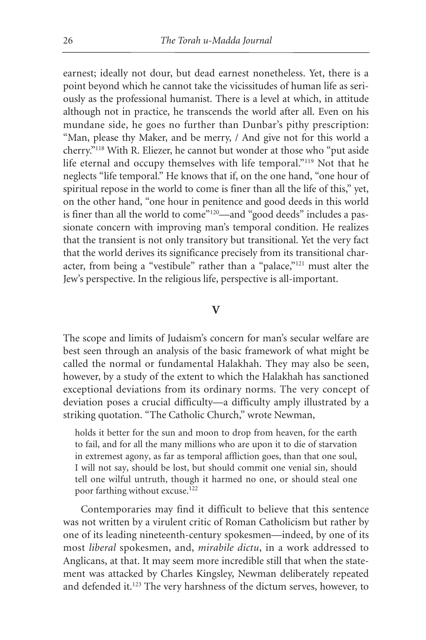earnest; ideally not dour, but dead earnest nonetheless. Yet, there is a point beyond which he cannot take the vicissitudes of human life as seriously as the professional humanist. There is a level at which, in attitude although not in practice, he transcends the world after all. Even on his mundane side, he goes no further than Dunbar's pithy prescription: "Man, please thy Maker, and be merry, / And give not for this world a cherry."118 With R. Eliezer, he cannot but wonder at those who "put aside life eternal and occupy themselves with life temporal."119 Not that he neglects "life temporal." He knows that if, on the one hand, "one hour of spiritual repose in the world to come is finer than all the life of this," yet, on the other hand, "one hour in penitence and good deeds in this world is finer than all the world to come"<sup>120</sup>—and "good deeds" includes a passionate concern with improving man's temporal condition. He realizes that the transient is not only transitory but transitional. Yet the very fact that the world derives its significance precisely from its transitional character, from being a "vestibule" rather than a "palace,"121 must alter the Jew's perspective. In the religious life, perspective is all-important.

#### **V**

The scope and limits of Judaism's concern for man's secular welfare are best seen through an analysis of the basic framework of what might be called the normal or fundamental Halakhah. They may also be seen, however, by a study of the extent to which the Halakhah has sanctioned exceptional deviations from its ordinary norms. The very concept of deviation poses a crucial difficulty—a difficulty amply illustrated by a striking quotation. "The Catholic Church," wrote Newman,

holds it better for the sun and moon to drop from heaven, for the earth to fail, and for all the many millions who are upon it to die of starvation in extremest agony, as far as temporal affliction goes, than that one soul, I will not say, should be lost, but should commit one venial sin, should tell one wilful untruth, though it harmed no one, or should steal one poor farthing without excuse.<sup>122</sup>

Contemporaries may find it difficult to believe that this sentence was not written by a virulent critic of Roman Catholicism but rather by one of its leading nineteenth-century spokesmen—indeed, by one of its most *liberal* spokesmen, and, *mirabile dictu*, in a work addressed to Anglicans, at that. It may seem more incredible still that when the statement was attacked by Charles Kingsley, Newman deliberately repeated and defended it.123 The very harshness of the dictum serves, however, to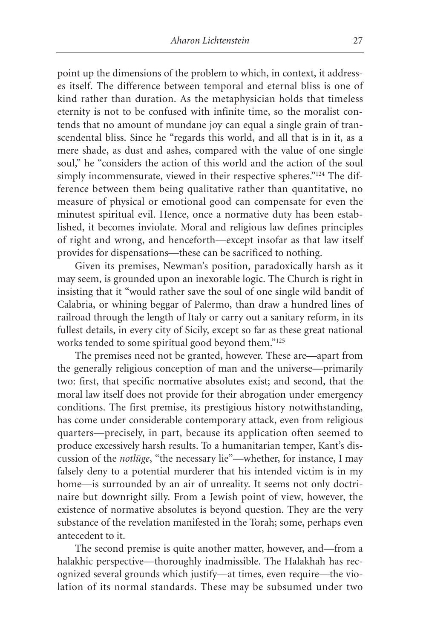point up the dimensions of the problem to which, in context, it addresses itself. The difference between temporal and eternal bliss is one of kind rather than duration. As the metaphysician holds that timeless eternity is not to be confused with infinite time, so the moralist contends that no amount of mundane joy can equal a single grain of transcendental bliss. Since he "regards this world, and all that is in it, as a mere shade, as dust and ashes, compared with the value of one single soul," he "considers the action of this world and the action of the soul simply incommensurate, viewed in their respective spheres."<sup>124</sup> The difference between them being qualitative rather than quantitative, no measure of physical or emotional good can compensate for even the minutest spiritual evil. Hence, once a normative duty has been established, it becomes inviolate. Moral and religious law defines principles of right and wrong, and henceforth—except insofar as that law itself provides for dispensations—these can be sacrificed to nothing.

Given its premises, Newman's position, paradoxically harsh as it may seem, is grounded upon an inexorable logic. The Church is right in insisting that it "would rather save the soul of one single wild bandit of Calabria, or whining beggar of Palermo, than draw a hundred lines of railroad through the length of Italy or carry out a sanitary reform, in its fullest details, in every city of Sicily, except so far as these great national works tended to some spiritual good beyond them."125

The premises need not be granted, however. These are—apart from the generally religious conception of man and the universe—primarily two: first, that specific normative absolutes exist; and second, that the moral law itself does not provide for their abrogation under emergency conditions. The first premise, its prestigious history notwithstanding, has come under considerable contemporary attack, even from religious quarters—precisely, in part, because its application often seemed to produce excessively harsh results. To a humanitarian temper, Kant's discussion of the *notlüge*, "the necessary lie"—whether, for instance, I may falsely deny to a potential murderer that his intended victim is in my home—is surrounded by an air of unreality. It seems not only doctrinaire but downright silly. From a Jewish point of view, however, the existence of normative absolutes is beyond question. They are the very substance of the revelation manifested in the Torah; some, perhaps even antecedent to it.

The second premise is quite another matter, however, and—from a halakhic perspective—thoroughly inadmissible. The Halakhah has recognized several grounds which justify—at times, even require—the violation of its normal standards. These may be subsumed under two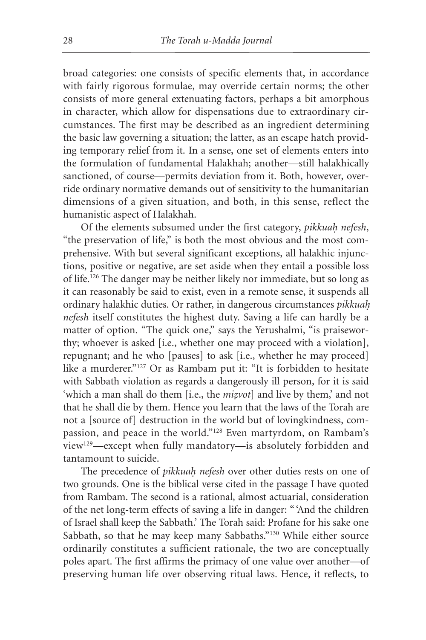broad categories: one consists of specific elements that, in accordance with fairly rigorous formulae, may override certain norms; the other consists of more general extenuating factors, perhaps a bit amorphous in character, which allow for dispensations due to extraordinary circumstances. The first may be described as an ingredient determining the basic law governing a situation; the latter, as an escape hatch providing temporary relief from it. In a sense, one set of elements enters into the formulation of fundamental Halakhah; another—still halakhically sanctioned, of course—permits deviation from it. Both, however, override ordinary normative demands out of sensitivity to the humanitarian dimensions of a given situation, and both, in this sense, reflect the humanistic aspect of Halakhah.

Of the elements subsumed under the first category, *pikkuah. nefesh*, "the preservation of life," is both the most obvious and the most comprehensive. With but several significant exceptions, all halakhic injunctions, positive or negative, are set aside when they entail a possible loss of life.126 The danger may be neither likely nor immediate, but so long as it can reasonably be said to exist, even in a remote sense, it suspends all ordinary halakhic duties. Or rather, in dangerous circumstances *pikkuah. nefesh* itself constitutes the highest duty. Saving a life can hardly be a matter of option. "The quick one," says the Yerushalmi, "is praiseworthy; whoever is asked [i.e., whether one may proceed with a violation], repugnant; and he who [pauses] to ask [i.e., whether he may proceed] like a murderer."127 Or as Rambam put it: "It is forbidden to hesitate with Sabbath violation as regards a dangerously ill person, for it is said 'which a man shall do them [i.e., the *mizvot*] and live by them,' and not that he shall die by them. Hence you learn that the laws of the Torah are not a [source of] destruction in the world but of lovingkindness, compassion, and peace in the world."128 Even martyrdom, on Rambam's view129—except when fully mandatory—is absolutely forbidden and tantamount to suicide.

The precedence of *pikkuah. nefesh* over other duties rests on one of two grounds. One is the biblical verse cited in the passage I have quoted from Rambam. The second is a rational, almost actuarial, consideration of the net long-term effects of saving a life in danger: " 'And the children of Israel shall keep the Sabbath.' The Torah said: Profane for his sake one Sabbath, so that he may keep many Sabbaths."130 While either source ordinarily constitutes a sufficient rationale, the two are conceptually poles apart. The first affirms the primacy of one value over another—of preserving human life over observing ritual laws. Hence, it reflects, to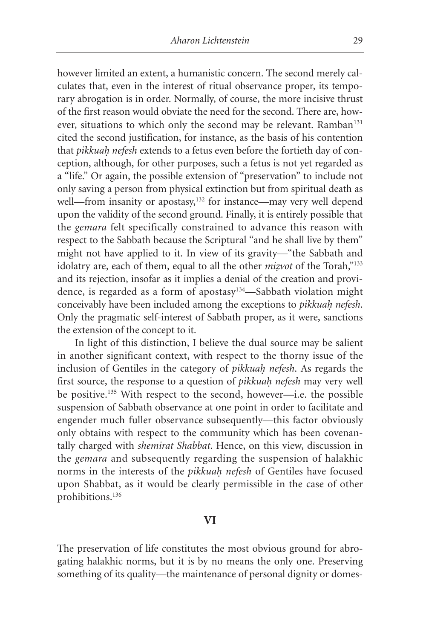however limited an extent, a humanistic concern. The second merely calculates that, even in the interest of ritual observance proper, its temporary abrogation is in order. Normally, of course, the more incisive thrust of the first reason would obviate the need for the second. There are, however, situations to which only the second may be relevant. Ramban<sup>131</sup> cited the second justification, for instance, as the basis of his contention that *pikkuah. nefesh* extends to a fetus even before the fortieth day of conception, although, for other purposes, such a fetus is not yet regarded as a "life." Or again, the possible extension of "preservation" to include not only saving a person from physical extinction but from spiritual death as well—from insanity or apostasy,<sup>132</sup> for instance—may very well depend upon the validity of the second ground. Finally, it is entirely possible that the *gemara* felt specifically constrained to advance this reason with respect to the Sabbath because the Scriptural "and he shall live by them" might not have applied to it. In view of its gravity—"the Sabbath and idolatry are, each of them, equal to all the other *mizvot* of the Torah,"<sup>133</sup> and its rejection, insofar as it implies a denial of the creation and providence, is regarded as a form of apostasy134—Sabbath violation might conceivably have been included among the exceptions to *pikkuah. nefesh*. Only the pragmatic self-interest of Sabbath proper, as it were, sanctions the extension of the concept to it.

In light of this distinction, I believe the dual source may be salient in another significant context, with respect to the thorny issue of the inclusion of Gentiles in the category of *pikkuah. nefesh*. As regards the first source, the response to a question of *pikkuah. nefesh* may very well be positive.135 With respect to the second, however—i.e. the possible suspension of Sabbath observance at one point in order to facilitate and engender much fuller observance subsequently—this factor obviously only obtains with respect to the community which has been covenantally charged with *shemirat Shabbat*. Hence, on this view, discussion in the *gemara* and subsequently regarding the suspension of halakhic norms in the interests of the *pikkuah. nefesh* of Gentiles have focused upon Shabbat, as it would be clearly permissible in the case of other prohibitions.136

## **VI**

The preservation of life constitutes the most obvious ground for abrogating halakhic norms, but it is by no means the only one. Preserving something of its quality—the maintenance of personal dignity or domes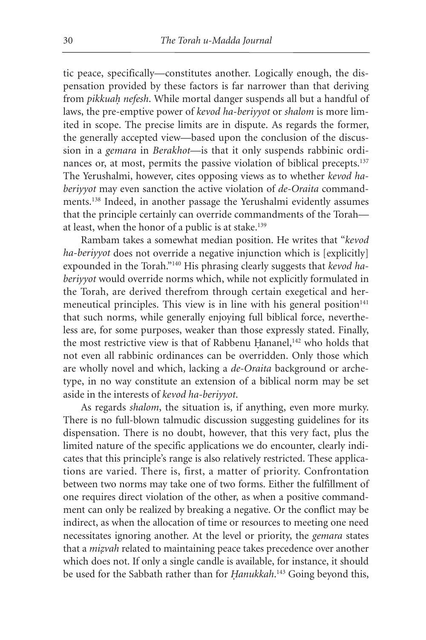tic peace, specifically—constitutes another. Logically enough, the dispensation provided by these factors is far narrower than that deriving from *pikkuah. nefesh*. While mortal danger suspends all but a handful of laws, the pre-emptive power of *kevod ha-beriyyot* or *shalom* is more limited in scope. The precise limits are in dispute. As regards the former, the generally accepted view—based upon the conclusion of the discussion in a *gemara* in *Berakhot*—is that it only suspends rabbinic ordinances or, at most, permits the passive violation of biblical precepts.<sup>137</sup> The Yerushalmi, however, cites opposing views as to whether *kevod haberiyyot* may even sanction the active violation of *de-Oraita* commandments.138 Indeed, in another passage the Yerushalmi evidently assumes that the principle certainly can override commandments of the Torah at least, when the honor of a public is at stake.139

Rambam takes a somewhat median position. He writes that "*kevod ha-beriyyot* does not override a negative injunction which is [explicitly] expounded in the Torah."140 His phrasing clearly suggests that *kevod haberiyyot* would override norms which, while not explicitly formulated in the Torah, are derived therefrom through certain exegetical and hermeneutical principles. This view is in line with his general position<sup>141</sup> that such norms, while generally enjoying full biblical force, nevertheless are, for some purposes, weaker than those expressly stated. Finally, the most restrictive view is that of Rabbenu Hananel,<sup>142</sup> who holds that not even all rabbinic ordinances can be overridden. Only those which are wholly novel and which, lacking a *de-Oraita* background or archetype, in no way constitute an extension of a biblical norm may be set aside in the interests of *kevod ha-beriyyot*.

As regards *shalom*, the situation is, if anything, even more murky. There is no full-blown talmudic discussion suggesting guidelines for its dispensation. There is no doubt, however, that this very fact, plus the limited nature of the specific applications we do encounter, clearly indicates that this principle's range is also relatively restricted. These applications are varied. There is, first, a matter of priority. Confrontation between two norms may take one of two forms. Either the fulfillment of one requires direct violation of the other, as when a positive commandment can only be realized by breaking a negative. Or the conflict may be indirect, as when the allocation of time or resources to meeting one need necessitates ignoring another. At the level or priority, the *gemara* states that a *mizvah* related to maintaining peace takes precedence over another which does not. If only a single candle is available, for instance, it should be used for the Sabbath rather than for *Hanukkah*.<sup>143</sup> Going beyond this,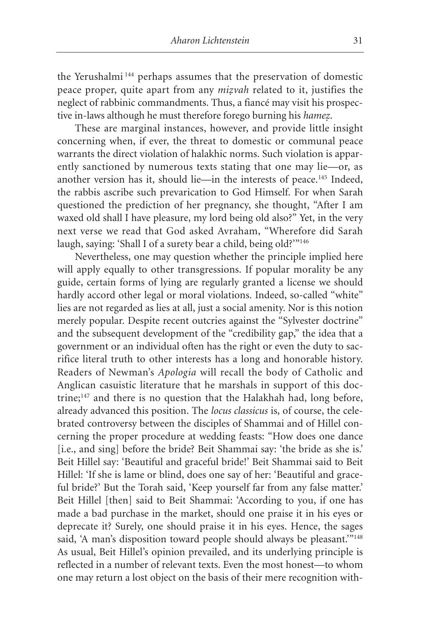the Yerushalmi <sup>144</sup> perhaps assumes that the preservation of domestic peace proper, quite apart from any *mizvah* related to it, justifies the neglect of rabbinic commandments. Thus, a fiancé may visit his prospective in-laws although he must therefore forego burning his *hamez.* .

These are marginal instances, however, and provide little insight concerning when, if ever, the threat to domestic or communal peace warrants the direct violation of halakhic norms. Such violation is apparently sanctioned by numerous texts stating that one may lie—or, as another version has it, should lie—in the interests of peace.<sup>145</sup> Indeed, the rabbis ascribe such prevarication to God Himself. For when Sarah questioned the prediction of her pregnancy, she thought, "After I am waxed old shall I have pleasure, my lord being old also?" Yet, in the very next verse we read that God asked Avraham, "Wherefore did Sarah laugh, saying: 'Shall I of a surety bear a child, being old?'"<sup>146</sup>

Nevertheless, one may question whether the principle implied here will apply equally to other transgressions. If popular morality be any guide, certain forms of lying are regularly granted a license we should hardly accord other legal or moral violations. Indeed, so-called "white" lies are not regarded as lies at all, just a social amenity. Nor is this notion merely popular. Despite recent outcries against the "Sylvester doctrine" and the subsequent development of the "credibility gap," the idea that a government or an individual often has the right or even the duty to sacrifice literal truth to other interests has a long and honorable history. Readers of Newman's *Apologia* will recall the body of Catholic and Anglican casuistic literature that he marshals in support of this doctrine;147 and there is no question that the Halakhah had, long before, already advanced this position. The *locus classicus* is, of course, the celebrated controversy between the disciples of Shammai and of Hillel concerning the proper procedure at wedding feasts: "How does one dance [i.e., and sing] before the bride? Beit Shammai say: 'the bride as she is.' Beit Hillel say: 'Beautiful and graceful bride!' Beit Shammai said to Beit Hillel: 'If she is lame or blind, does one say of her: 'Beautiful and graceful bride?' But the Torah said, 'Keep yourself far from any false matter.' Beit Hillel [then] said to Beit Shammai: 'According to you, if one has made a bad purchase in the market, should one praise it in his eyes or deprecate it? Surely, one should praise it in his eyes. Hence, the sages said, 'A man's disposition toward people should always be pleasant."<sup>148</sup> As usual, Beit Hillel's opinion prevailed, and its underlying principle is reflected in a number of relevant texts. Even the most honest—to whom one may return a lost object on the basis of their mere recognition with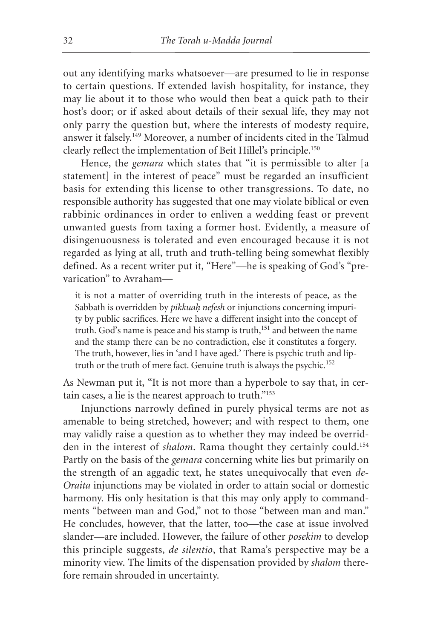out any identifying marks whatsoever—are presumed to lie in response to certain questions. If extended lavish hospitality, for instance, they may lie about it to those who would then beat a quick path to their host's door; or if asked about details of their sexual life, they may not only parry the question but, where the interests of modesty require, answer it falsely.149 Moreover, a number of incidents cited in the Talmud clearly reflect the implementation of Beit Hillel's principle.150

Hence, the *gemara* which states that "it is permissible to alter [a statement] in the interest of peace" must be regarded an insufficient basis for extending this license to other transgressions. To date, no responsible authority has suggested that one may violate biblical or even rabbinic ordinances in order to enliven a wedding feast or prevent unwanted guests from taxing a former host. Evidently, a measure of disingenuousness is tolerated and even encouraged because it is not regarded as lying at all, truth and truth-telling being somewhat flexibly defined. As a recent writer put it, "Here"—he is speaking of God's "prevarication" to Avraham—

it is not a matter of overriding truth in the interests of peace, as the Sabbath is overridden by *pikkuah. nefesh* or injunctions concerning impurity by public sacrifices. Here we have a different insight into the concept of truth. God's name is peace and his stamp is truth,<sup>151</sup> and between the name and the stamp there can be no contradiction, else it constitutes a forgery. The truth, however, lies in 'and I have aged.' There is psychic truth and liptruth or the truth of mere fact. Genuine truth is always the psychic.<sup>152</sup>

As Newman put it, "It is not more than a hyperbole to say that, in certain cases, a lie is the nearest approach to truth."153

Injunctions narrowly defined in purely physical terms are not as amenable to being stretched, however; and with respect to them, one may validly raise a question as to whether they may indeed be overridden in the interest of *shalom*. Rama thought they certainly could.<sup>154</sup> Partly on the basis of the *gemara* concerning white lies but primarily on the strength of an aggadic text, he states unequivocally that even *de-Oraita* injunctions may be violated in order to attain social or domestic harmony. His only hesitation is that this may only apply to commandments "between man and God," not to those "between man and man." He concludes, however, that the latter, too—the case at issue involved slander—are included. However, the failure of other *posekim* to develop this principle suggests, *de silentio*, that Rama's perspective may be a minority view. The limits of the dispensation provided by *shalom* therefore remain shrouded in uncertainty.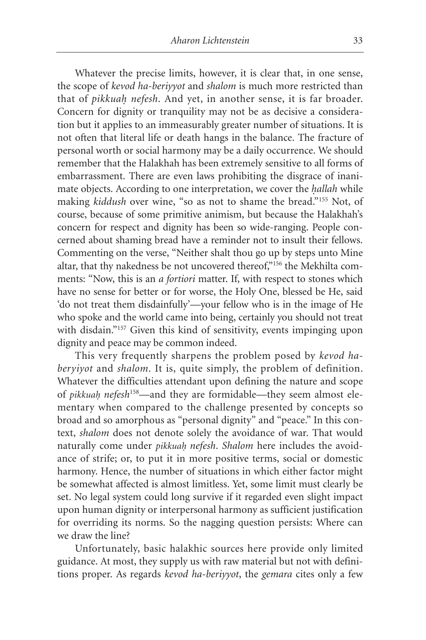Whatever the precise limits, however, it is clear that, in one sense, the scope of *kevod ha-beriyyot* and *shalom* is much more restricted than that of *pikkuah. nefesh*. And yet, in another sense, it is far broader. Concern for dignity or tranquility may not be as decisive a consideration but it applies to an immeasurably greater number of situations. It is not often that literal life or death hangs in the balance. The fracture of personal worth or social harmony may be a daily occurrence. We should remember that the Halakhah has been extremely sensitive to all forms of embarrassment. There are even laws prohibiting the disgrace of inanimate objects. According to one interpretation, we cover the *hallah* while making *kiddush* over wine, "so as not to shame the bread."<sup>155</sup> Not, of course, because of some primitive animism, but because the Halakhah's concern for respect and dignity has been so wide-ranging. People concerned about shaming bread have a reminder not to insult their fellows. Commenting on the verse, "Neither shalt thou go up by steps unto Mine altar, that thy nakedness be not uncovered thereof,"156 the Mekhilta comments: "Now, this is an *a fortiori* matter. If, with respect to stones which have no sense for better or for worse, the Holy One, blessed be He, said 'do not treat them disdainfully'—your fellow who is in the image of He who spoke and the world came into being, certainly you should not treat with disdain."<sup>157</sup> Given this kind of sensitivity, events impinging upon dignity and peace may be common indeed.

This very frequently sharpens the problem posed by *kevod haberyiyot* and *shalom*. It is, quite simply, the problem of definition. Whatever the difficulties attendant upon defining the nature and scope of *pikkuah. nefesh*158—and they are formidable—they seem almost elementary when compared to the challenge presented by concepts so broad and so amorphous as "personal dignity" and "peace." In this context, *shalom* does not denote solely the avoidance of war. That would naturally come under *pikkuah. nefesh*. *Shalom* here includes the avoidance of strife; or, to put it in more positive terms, social or domestic harmony. Hence, the number of situations in which either factor might be somewhat affected is almost limitless. Yet, some limit must clearly be set. No legal system could long survive if it regarded even slight impact upon human dignity or interpersonal harmony as sufficient justification for overriding its norms. So the nagging question persists: Where can we draw the line?

Unfortunately, basic halakhic sources here provide only limited guidance. At most, they supply us with raw material but not with definitions proper. As regards *kevod ha-beriyyot*, the *gemara* cites only a few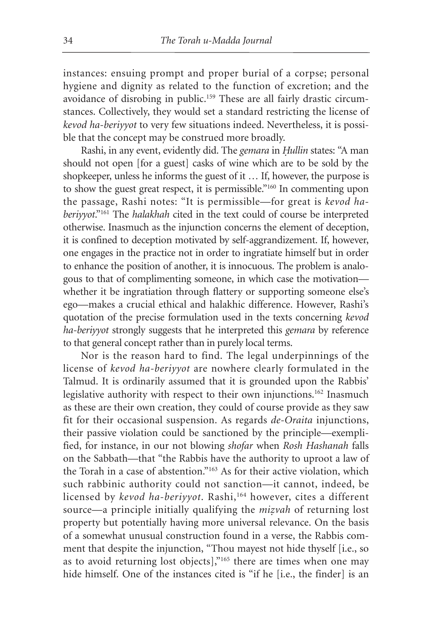instances: ensuing prompt and proper burial of a corpse; personal hygiene and dignity as related to the function of excretion; and the avoidance of disrobing in public.<sup>159</sup> These are all fairly drastic circumstances. Collectively, they would set a standard restricting the license of *kevod ha-beriyyot* to very few situations indeed. Nevertheless, it is possible that the concept may be construed more broadly.

Rashi, in any event, evidently did. The *gemara* in *Hullin* states: "A man should not open [for a guest] casks of wine which are to be sold by the shopkeeper, unless he informs the guest of it … If, however, the purpose is to show the guest great respect, it is permissible."160 In commenting upon the passage, Rashi notes: "It is permissible—for great is *kevod haberiyyot*."161 The *halakhah* cited in the text could of course be interpreted otherwise. Inasmuch as the injunction concerns the element of deception, it is confined to deception motivated by self-aggrandizement. If, however, one engages in the practice not in order to ingratiate himself but in order to enhance the position of another, it is innocuous. The problem is analogous to that of complimenting someone, in which case the motivation whether it be ingratiation through flattery or supporting someone else's ego—makes a crucial ethical and halakhic difference. However, Rashi's quotation of the precise formulation used in the texts concerning *kevod ha-beriyyot* strongly suggests that he interpreted this *gemara* by reference to that general concept rather than in purely local terms.

Nor is the reason hard to find. The legal underpinnings of the license of *kevod ha-beriyyot* are nowhere clearly formulated in the Talmud. It is ordinarily assumed that it is grounded upon the Rabbis' legislative authority with respect to their own injunctions.<sup>162</sup> Inasmuch as these are their own creation, they could of course provide as they saw fit for their occasional suspension. As regards *de-Oraita* injunctions, their passive violation could be sanctioned by the principle—exemplified, for instance, in our not blowing *shofar* when *Rosh Hashanah* falls on the Sabbath—that "the Rabbis have the authority to uproot a law of the Torah in a case of abstention."163 As for their active violation, which such rabbinic authority could not sanction—it cannot, indeed, be licensed by *kevod ha-beriyyot*. Rashi,<sup>164</sup> however, cites a different source—a principle initially qualifying the *mizvah* of returning lost property but potentially having more universal relevance. On the basis of a somewhat unusual construction found in a verse, the Rabbis comment that despite the injunction, "Thou mayest not hide thyself [i.e., so as to avoid returning lost objects],"165 there are times when one may hide himself. One of the instances cited is "if he [i.e., the finder] is an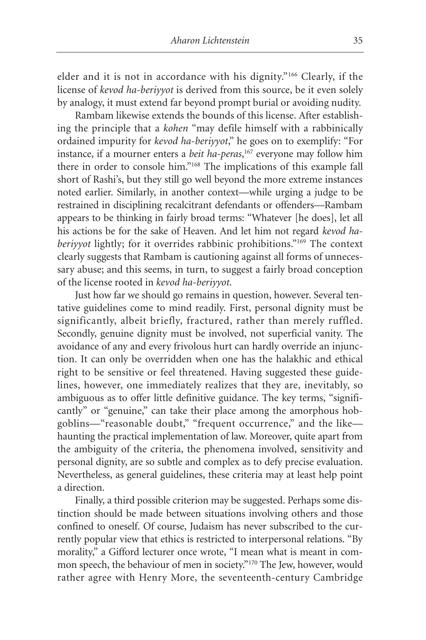elder and it is not in accordance with his dignity."166 Clearly, if the license of *kevod ha-beriyyot* is derived from this source, be it even solely by analogy, it must extend far beyond prompt burial or avoiding nudity.

Rambam likewise extends the bounds of this license. After establishing the principle that a *kohen* "may defile himself with a rabbinically ordained impurity for *kevod ha-beriyyot*," he goes on to exemplify: "For instance, if a mourner enters a *beit ha-peras*, <sup>167</sup> everyone may follow him there in order to console him."168 The implications of this example fall short of Rashi's, but they still go well beyond the more extreme instances noted earlier. Similarly, in another context—while urging a judge to be restrained in disciplining recalcitrant defendants or offenders—Rambam appears to be thinking in fairly broad terms: "Whatever [he does], let all his actions be for the sake of Heaven. And let him not regard *kevod haberiyyot* lightly; for it overrides rabbinic prohibitions."169 The context clearly suggests that Rambam is cautioning against all forms of unnecessary abuse; and this seems, in turn, to suggest a fairly broad conception of the license rooted in *kevod ha-beriyyot*.

Just how far we should go remains in question, however. Several tentative guidelines come to mind readily. First, personal dignity must be significantly, albeit briefly, fractured, rather than merely ruffled. Secondly, genuine dignity must be involved, not superficial vanity. The avoidance of any and every frivolous hurt can hardly override an injunction. It can only be overridden when one has the halakhic and ethical right to be sensitive or feel threatened. Having suggested these guidelines, however, one immediately realizes that they are, inevitably, so ambiguous as to offer little definitive guidance. The key terms, "significantly" or "genuine," can take their place among the amorphous hobgoblins—"reasonable doubt," "frequent occurrence," and the like haunting the practical implementation of law. Moreover, quite apart from the ambiguity of the criteria, the phenomena involved, sensitivity and personal dignity, are so subtle and complex as to defy precise evaluation. Nevertheless, as general guidelines, these criteria may at least help point a direction.

Finally, a third possible criterion may be suggested. Perhaps some distinction should be made between situations involving others and those confined to oneself. Of course, Judaism has never subscribed to the currently popular view that ethics is restricted to interpersonal relations. "By morality," a Gifford lecturer once wrote, "I mean what is meant in common speech, the behaviour of men in society."170 The Jew, however, would rather agree with Henry More, the seventeenth-century Cambridge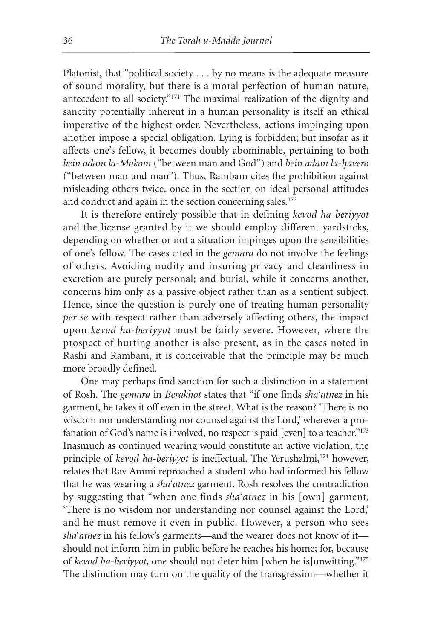Platonist, that "political society . . . by no means is the adequate measure of sound morality, but there is a moral perfection of human nature, antecedent to all society."171 The maximal realization of the dignity and sanctity potentially inherent in a human personality is itself an ethical imperative of the highest order. Nevertheless, actions impinging upon another impose a special obligation. Lying is forbidden; but insofar as it affects one's fellow, it becomes doubly abominable, pertaining to both *bein adam la-Makom* ("between man and God") and *bein adam la-havero* ("between man and man"). Thus, Rambam cites the prohibition against misleading others twice, once in the section on ideal personal attitudes and conduct and again in the section concerning sales.<sup>172</sup>

It is therefore entirely possible that in defining *kevod ha-beriyyot* and the license granted by it we should employ different yardsticks, depending on whether or not a situation impinges upon the sensibilities of one's fellow. The cases cited in the *gemara* do not involve the feelings of others. Avoiding nudity and insuring privacy and cleanliness in excretion are purely personal; and burial, while it concerns another, concerns him only as a passive object rather than as a sentient subject. Hence, since the question is purely one of treating human personality *per se* with respect rather than adversely affecting others, the impact upon *kevod ha-beriyyot* must be fairly severe. However, where the prospect of hurting another is also present, as in the cases noted in Rashi and Rambam, it is conceivable that the principle may be much more broadly defined.

One may perhaps find sanction for such a distinction in a statement of Rosh. The *gemara* in *Berakhot* states that "if one finds *sha*'*atnez* in his garment, he takes it off even in the street. What is the reason? 'There is no wisdom nor understanding nor counsel against the Lord,' wherever a profanation of God's name is involved, no respect is paid [even] to a teacher."<sup>173</sup> Inasmuch as continued wearing would constitute an active violation, the principle of *kevod ha-beriyyot* is ineffectual. The Yerushalmi,<sup>174</sup> however, relates that Rav Ammi reproached a student who had informed his fellow that he was wearing a *sha*'*atnez* garment. Rosh resolves the contradiction by suggesting that "when one finds *sha*'*atnez* in his [own] garment, 'There is no wisdom nor understanding nor counsel against the Lord,' and he must remove it even in public. However, a person who sees *sha*'*atnez* in his fellow's garments—and the wearer does not know of it should not inform him in public before he reaches his home; for, because of *kevod ha-beriyyot*, one should not deter him [when he is]unwitting."175 The distinction may turn on the quality of the transgression—whether it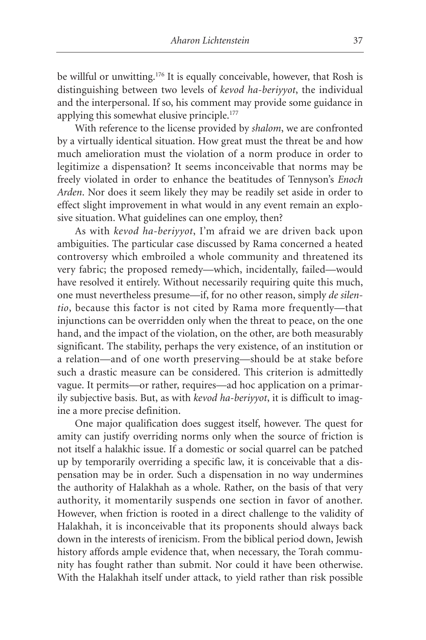be willful or unwitting.<sup>176</sup> It is equally conceivable, however, that Rosh is distinguishing between two levels of *kevod ha-beriyyot*, the individual and the interpersonal. If so, his comment may provide some guidance in applying this somewhat elusive principle.<sup>177</sup>

With reference to the license provided by *shalom*, we are confronted by a virtually identical situation. How great must the threat be and how much amelioration must the violation of a norm produce in order to legitimize a dispensation? It seems inconceivable that norms may be freely violated in order to enhance the beatitudes of Tennyson's *Enoch Arden*. Nor does it seem likely they may be readily set aside in order to effect slight improvement in what would in any event remain an explosive situation. What guidelines can one employ, then?

As with *kevod ha-beriyyot*, I'm afraid we are driven back upon ambiguities. The particular case discussed by Rama concerned a heated controversy which embroiled a whole community and threatened its very fabric; the proposed remedy—which, incidentally, failed—would have resolved it entirely. Without necessarily requiring quite this much, one must nevertheless presume—if, for no other reason, simply *de silentio*, because this factor is not cited by Rama more frequently—that injunctions can be overridden only when the threat to peace, on the one hand, and the impact of the violation, on the other, are both measurably significant. The stability, perhaps the very existence, of an institution or a relation—and of one worth preserving—should be at stake before such a drastic measure can be considered. This criterion is admittedly vague. It permits—or rather, requires—ad hoc application on a primarily subjective basis. But, as with *kevod ha-beriyyot*, it is difficult to imagine a more precise definition.

One major qualification does suggest itself, however. The quest for amity can justify overriding norms only when the source of friction is not itself a halakhic issue. If a domestic or social quarrel can be patched up by temporarily overriding a specific law, it is conceivable that a dispensation may be in order. Such a dispensation in no way undermines the authority of Halakhah as a whole. Rather, on the basis of that very authority, it momentarily suspends one section in favor of another. However, when friction is rooted in a direct challenge to the validity of Halakhah, it is inconceivable that its proponents should always back down in the interests of irenicism. From the biblical period down, Jewish history affords ample evidence that, when necessary, the Torah community has fought rather than submit. Nor could it have been otherwise. With the Halakhah itself under attack, to yield rather than risk possible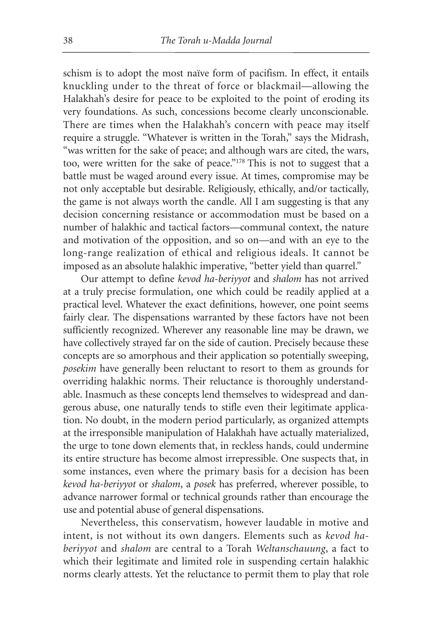schism is to adopt the most naïve form of pacifism. In effect, it entails knuckling under to the threat of force or blackmail—allowing the Halakhah's desire for peace to be exploited to the point of eroding its very foundations. As such, concessions become clearly unconscionable. There are times when the Halakhah's concern with peace may itself require a struggle. "Whatever is written in the Torah," says the Midrash, "was written for the sake of peace; and although wars are cited, the wars, too, were written for the sake of peace."178 This is not to suggest that a battle must be waged around every issue. At times, compromise may be not only acceptable but desirable. Religiously, ethically, and/or tactically, the game is not always worth the candle. All I am suggesting is that any decision concerning resistance or accommodation must be based on a number of halakhic and tactical factors—communal context, the nature and motivation of the opposition, and so on—and with an eye to the long-range realization of ethical and religious ideals. It cannot be imposed as an absolute halakhic imperative, "better yield than quarrel."

Our attempt to define *kevod ha-beriyyot* and *shalom* has not arrived at a truly precise formulation, one which could be readily applied at a practical level. Whatever the exact definitions, however, one point seems fairly clear. The dispensations warranted by these factors have not been sufficiently recognized. Wherever any reasonable line may be drawn, we have collectively strayed far on the side of caution. Precisely because these concepts are so amorphous and their application so potentially sweeping, *posekim* have generally been reluctant to resort to them as grounds for overriding halakhic norms. Their reluctance is thoroughly understandable. Inasmuch as these concepts lend themselves to widespread and dangerous abuse, one naturally tends to stifle even their legitimate application. No doubt, in the modern period particularly, as organized attempts at the irresponsible manipulation of Halakhah have actually materialized, the urge to tone down elements that, in reckless hands, could undermine its entire structure has become almost irrepressible. One suspects that, in some instances, even where the primary basis for a decision has been *kevod ha-beriyyot* or *shalom*, a *posek* has preferred, wherever possible, to advance narrower formal or technical grounds rather than encourage the use and potential abuse of general dispensations.

Nevertheless, this conservatism, however laudable in motive and intent, is not without its own dangers. Elements such as *kevod haberiyyot* and *shalom* are central to a Torah *Weltanschauung*, a fact to which their legitimate and limited role in suspending certain halakhic norms clearly attests. Yet the reluctance to permit them to play that role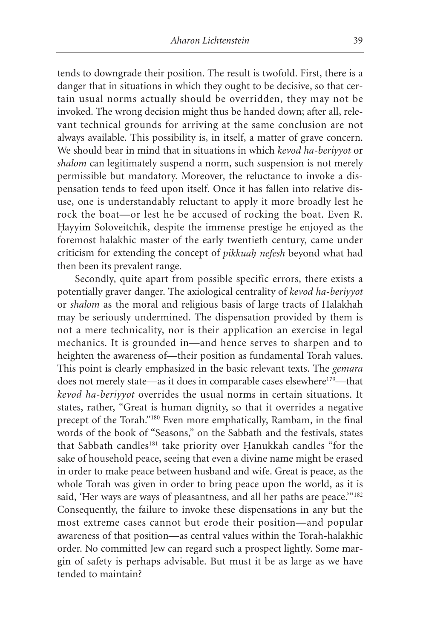tends to downgrade their position. The result is twofold. First, there is a danger that in situations in which they ought to be decisive, so that certain usual norms actually should be overridden, they may not be invoked. The wrong decision might thus be handed down; after all, relevant technical grounds for arriving at the same conclusion are not always available. This possibility is, in itself, a matter of grave concern. We should bear in mind that in situations in which *kevod ha-beriyyot* or *shalom* can legitimately suspend a norm, such suspension is not merely permissible but mandatory. Moreover, the reluctance to invoke a dispensation tends to feed upon itself. Once it has fallen into relative disuse, one is understandably reluctant to apply it more broadly lest he rock the boat—or lest he be accused of rocking the boat. Even R. Hayyim Soloveitchik, despite the immense prestige he enjoyed as the foremost halakhic master of the early twentieth century, came under criticism for extending the concept of *pikkuah. nefesh* beyond what had then been its prevalent range.

Secondly, quite apart from possible specific errors, there exists a potentially graver danger. The axiological centrality of *kevod ha-beriyyot* or *shalom* as the moral and religious basis of large tracts of Halakhah may be seriously undermined. The dispensation provided by them is not a mere technicality, nor is their application an exercise in legal mechanics. It is grounded in—and hence serves to sharpen and to heighten the awareness of—their position as fundamental Torah values. This point is clearly emphasized in the basic relevant texts. The *gemara* does not merely state—as it does in comparable cases elsewhere<sup>179</sup>—that *kevod ha-beriyyot* overrides the usual norms in certain situations. It states, rather, "Great is human dignity, so that it overrides a negative precept of the Torah."180 Even more emphatically, Rambam, in the final words of the book of "Seasons," on the Sabbath and the festivals, states that Sabbath candles<sup>181</sup> take priority over Hanukkah candles "for the sake of household peace, seeing that even a divine name might be erased in order to make peace between husband and wife. Great is peace, as the whole Torah was given in order to bring peace upon the world, as it is said, 'Her ways are ways of pleasantness, and all her paths are peace.'"<sup>182</sup> Consequently, the failure to invoke these dispensations in any but the most extreme cases cannot but erode their position—and popular awareness of that position—as central values within the Torah-halakhic order. No committed Jew can regard such a prospect lightly. Some margin of safety is perhaps advisable. But must it be as large as we have tended to maintain?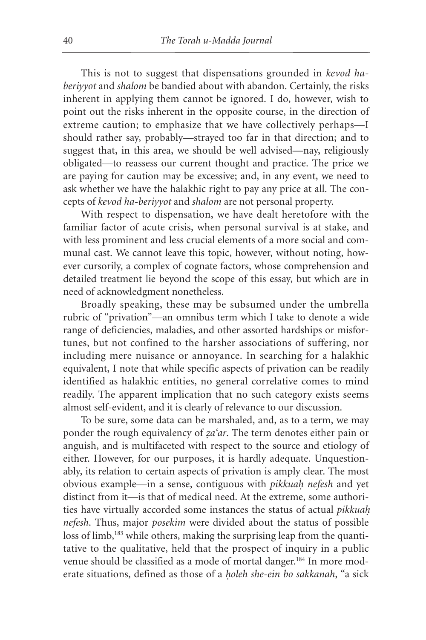This is not to suggest that dispensations grounded in *kevod haberiyyot* and *shalom* be bandied about with abandon. Certainly, the risks inherent in applying them cannot be ignored. I do, however, wish to point out the risks inherent in the opposite course, in the direction of extreme caution; to emphasize that we have collectively perhaps—I should rather say, probably—strayed too far in that direction; and to suggest that, in this area, we should be well advised—nay, religiously obligated—to reassess our current thought and practice. The price we are paying for caution may be excessive; and, in any event, we need to ask whether we have the halakhic right to pay any price at all. The concepts of *kevod ha-beriyyot* and *shalom* are not personal property.

With respect to dispensation, we have dealt heretofore with the familiar factor of acute crisis, when personal survival is at stake, and with less prominent and less crucial elements of a more social and communal cast. We cannot leave this topic, however, without noting, however cursorily, a complex of cognate factors, whose comprehension and detailed treatment lie beyond the scope of this essay, but which are in need of acknowledgment nonetheless.

Broadly speaking, these may be subsumed under the umbrella rubric of "privation"—an omnibus term which I take to denote a wide range of deficiencies, maladies, and other assorted hardships or misfortunes, but not confined to the harsher associations of suffering, nor including mere nuisance or annoyance. In searching for a halakhic equivalent, I note that while specific aspects of privation can be readily identified as halakhic entities, no general correlative comes to mind readily. The apparent implication that no such category exists seems almost self-evident, and it is clearly of relevance to our discussion.

To be sure, some data can be marshaled, and, as to a term, we may ponder the rough equivalency of *za'ar*. The term denotes either pain or anguish, and is multifaceted with respect to the source and etiology of either. However, for our purposes, it is hardly adequate. Unquestionably, its relation to certain aspects of privation is amply clear. The most obvious example—in a sense, contiguous with *pikkuah. nefesh* and yet distinct from it—is that of medical need. At the extreme, some authorities have virtually accorded some instances the status of actual *pikkuah. nefesh*. Thus, major *posekim* were divided about the status of possible loss of limb,<sup>183</sup> while others, making the surprising leap from the quantitative to the qualitative, held that the prospect of inquiry in a public venue should be classified as a mode of mortal danger.<sup>184</sup> In more moderate situations, defined as those of a *holeh she-ein bo sakkanah*, "a sick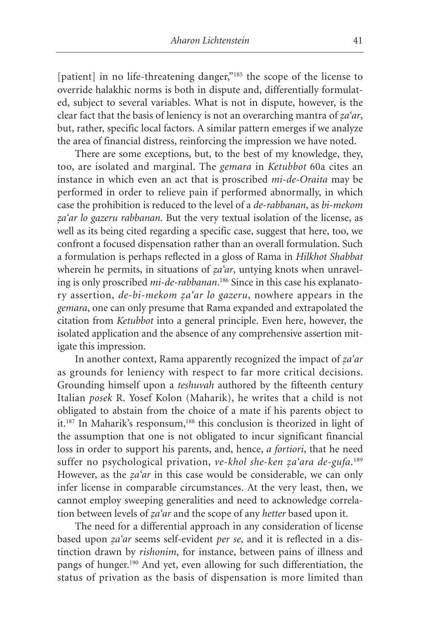[patient] in no life-threatening danger,"<sup>185</sup> the scope of the license to override halakhic norms is both in dispute and, differentially formulated, subject to several variables. What is not in dispute, however, is the clear fact that the basis of leniency is not an overarching mantra of *za'ar*, but, rather, specific local factors. A similar pattern emerges if we analyze the area of financial distress, reinforcing the impression we have noted.

There are some exceptions, but, to the best of my knowledge, they, too, are isolated and marginal. The *gemara* in *Ketubbot* 60a cites an instance in which even an act that is proscribed *mi-de-Oraita* may be performed in order to relieve pain if performed abnormally, in which case the prohibition is reduced to the level of a *de-rabbanan*, as *bi-mekom* za'ar lo gazeru rabbanan. But the very textual isolation of the license, as well as its being cited regarding a specific case, suggest that here, too, we confront a focused dispensation rather than an overall formulation. Such a formulation is perhaps reflected in a gloss of Rama in *Hilkhot Shabbat* wherein he permits, in situations of *za'ar*, untying knots when unraveling is only proscribed *mi-de-rabbanan*. <sup>186</sup> Since in this case his explanatory assertion, *de-bi-mekom za'ar lo gazeru*, nowhere appears in the *gemara*, one can only presume that Rama expanded and extrapolated the citation from *Ketubbot* into a general principle. Even here, however, the isolated application and the absence of any comprehensive assertion mitigate this impression.

In another context, Rama apparently recognized the impact of *za'ar* as grounds for leniency with respect to far more critical decisions. Grounding himself upon a *teshuvah* authored by the fifteenth century Italian *posek* R. Yosef Kolon (Maharik), he writes that a child is not obligated to abstain from the choice of a mate if his parents object to it.<sup>187</sup> In Maharik's responsum,<sup>188</sup> this conclusion is theorized in light of the assumption that one is not obligated to incur significant financial loss in order to support his parents, and, hence, *a fortiori*, that he need suffer no psychological privation, *ve-khol she-ken z. a'ara de-gufa*. 189 However, as the *za'ar* in this case would be considerable, we can only infer license in comparable circumstances. At the very least, then, we cannot employ sweeping generalities and need to acknowledge correlation between levels of *za'ar* and the scope of any *hetter* based upon it.

The need for a differential approach in any consideration of license based upon *za'ar* seems self-evident *per se*, and it is reflected in a distinction drawn by *rishonim*, for instance, between pains of illness and pangs of hunger.190 And yet, even allowing for such differentiation, the status of privation as the basis of dispensation is more limited than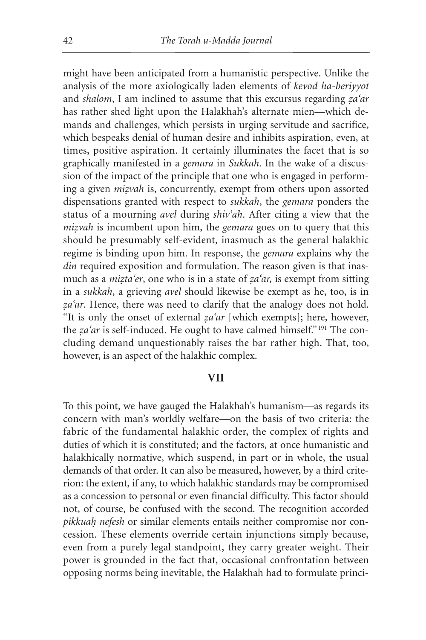might have been anticipated from a humanistic perspective. Unlike the analysis of the more axiologically laden elements of *kevod ha-beriyyot* and *shalom*, I am inclined to assume that this excursus regarding *za'ar* has rather shed light upon the Halakhah's alternate mien—which demands and challenges, which persists in urging servitude and sacrifice, which bespeaks denial of human desire and inhibits aspiration, even, at times, positive aspiration. It certainly illuminates the facet that is so graphically manifested in a *gemara* in *Sukkah*. In the wake of a discussion of the impact of the principle that one who is engaged in performing a given *mizvah* is, concurrently, exempt from others upon assorted dispensations granted with respect to *sukkah*, the *gemara* ponders the status of a mourning *avel* during *shiv'ah*. After citing a view that the *mizvah* is incumbent upon him, the *gemara* goes on to query that this should be presumably self-evident, inasmuch as the general halakhic regime is binding upon him. In response, the *gemara* explains why the *din* required exposition and formulation. The reason given is that inasmuch as a *mizta*'er, one who is in a state of *za*'ar, is exempt from sitting in a *sukkah*, a grieving *avel* should likewise be exempt as he, too, is in za'ar. Hence, there was need to clarify that the analogy does not hold. "It is only the onset of external  $z^a$  *a*" [which exempts]; here, however, the *za'ar* is self-induced. He ought to have calmed himself."<sup>191</sup> The concluding demand unquestionably raises the bar rather high. That, too, however, is an aspect of the halakhic complex.

### **VII**

To this point, we have gauged the Halakhah's humanism—as regards its concern with man's worldly welfare—on the basis of two criteria: the fabric of the fundamental halakhic order, the complex of rights and duties of which it is constituted; and the factors, at once humanistic and halakhically normative, which suspend, in part or in whole, the usual demands of that order. It can also be measured, however, by a third criterion: the extent, if any, to which halakhic standards may be compromised as a concession to personal or even financial difficulty. This factor should not, of course, be confused with the second. The recognition accorded *pikkuah. nefesh* or similar elements entails neither compromise nor concession. These elements override certain injunctions simply because, even from a purely legal standpoint, they carry greater weight. Their power is grounded in the fact that, occasional confrontation between opposing norms being inevitable, the Halakhah had to formulate princi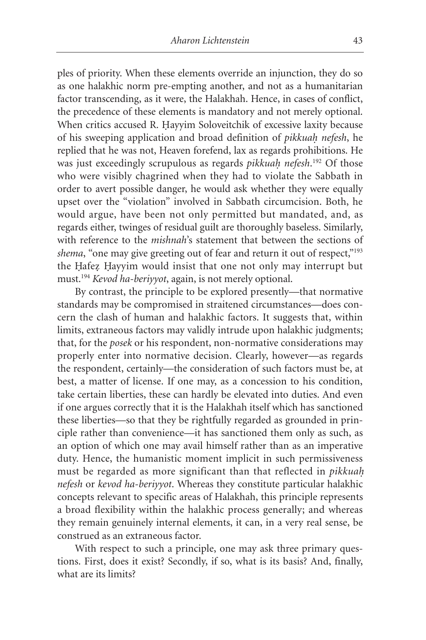ples of priority. When these elements override an injunction, they do so as one halakhic norm pre-empting another, and not as a humanitarian factor transcending, as it were, the Halakhah. Hence, in cases of conflict, the precedence of these elements is mandatory and not merely optional. When critics accused R. Hayyim Soloveitchik of excessive laxity because of his sweeping application and broad definition of *pikkuah. nefesh*, he replied that he was not, Heaven forefend, lax as regards prohibitions. He was just exceedingly scrupulous as regards *pikkuah. nefesh*. <sup>192</sup> Of those who were visibly chagrined when they had to violate the Sabbath in order to avert possible danger, he would ask whether they were equally upset over the "violation" involved in Sabbath circumcision. Both, he would argue, have been not only permitted but mandated, and, as regards either, twinges of residual guilt are thoroughly baseless. Similarly, with reference to the *mishnah*'s statement that between the sections of shema, "one may give greeting out of fear and return it out of respect,"<sup>193</sup> the Hafez Hayyim would insist that one not only may interrupt but must.194 *Kevod ha-beriyyot*, again, is not merely optional.

By contrast, the principle to be explored presently—that normative standards may be compromised in straitened circumstances—does concern the clash of human and halakhic factors. It suggests that, within limits, extraneous factors may validly intrude upon halakhic judgments; that, for the *posek* or his respondent, non-normative considerations may properly enter into normative decision. Clearly, however—as regards the respondent, certainly—the consideration of such factors must be, at best, a matter of license. If one may, as a concession to his condition, take certain liberties, these can hardly be elevated into duties. And even if one argues correctly that it is the Halakhah itself which has sanctioned these liberties—so that they be rightfully regarded as grounded in principle rather than convenience—it has sanctioned them only as such, as an option of which one may avail himself rather than as an imperative duty. Hence, the humanistic moment implicit in such permissiveness must be regarded as more significant than that reflected in *pikkuah. nefesh* or *kevod ha-beriyyot*. Whereas they constitute particular halakhic concepts relevant to specific areas of Halakhah, this principle represents a broad flexibility within the halakhic process generally; and whereas they remain genuinely internal elements, it can, in a very real sense, be construed as an extraneous factor.

With respect to such a principle, one may ask three primary questions. First, does it exist? Secondly, if so, what is its basis? And, finally, what are its limits?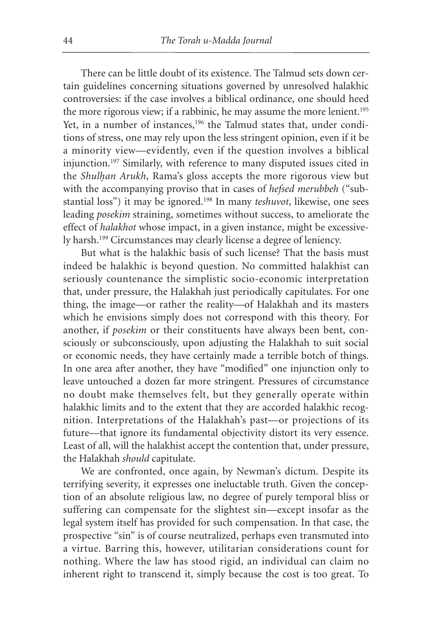There can be little doubt of its existence. The Talmud sets down certain guidelines concerning situations governed by unresolved halakhic controversies: if the case involves a biblical ordinance, one should heed the more rigorous view; if a rabbinic, he may assume the more lenient.<sup>195</sup> Yet, in a number of instances,<sup>196</sup> the Talmud states that, under conditions of stress, one may rely upon the less stringent opinion, even if it be a minority view—evidently, even if the question involves a biblical injunction.197 Similarly, with reference to many disputed issues cited in the *Shulhan Arukh*, Rama's gloss accepts the more rigorous view but with the accompanying proviso that in cases of *hefsed merubbeh* ("substantial loss") it may be ignored.198 In many *teshuvot*, likewise, one sees leading *posekim* straining, sometimes without success, to ameliorate the effect of *halakhot* whose impact, in a given instance, might be excessively harsh.199 Circumstances may clearly license a degree of leniency.

But what is the halakhic basis of such license? That the basis must indeed be halakhic is beyond question. No committed halakhist can seriously countenance the simplistic socio-economic interpretation that, under pressure, the Halakhah just periodically capitulates. For one thing, the image—or rather the reality—of Halakhah and its masters which he envisions simply does not correspond with this theory. For another, if *posekim* or their constituents have always been bent, consciously or subconsciously, upon adjusting the Halakhah to suit social or economic needs, they have certainly made a terrible botch of things. In one area after another, they have "modified" one injunction only to leave untouched a dozen far more stringent. Pressures of circumstance no doubt make themselves felt, but they generally operate within halakhic limits and to the extent that they are accorded halakhic recognition. Interpretations of the Halakhah's past—or projections of its future—that ignore its fundamental objectivity distort its very essence. Least of all, will the halakhist accept the contention that, under pressure, the Halakhah *should* capitulate.

We are confronted, once again, by Newman's dictum. Despite its terrifying severity, it expresses one ineluctable truth. Given the conception of an absolute religious law, no degree of purely temporal bliss or suffering can compensate for the slightest sin—except insofar as the legal system itself has provided for such compensation. In that case, the prospective "sin" is of course neutralized, perhaps even transmuted into a virtue. Barring this, however, utilitarian considerations count for nothing. Where the law has stood rigid, an individual can claim no inherent right to transcend it, simply because the cost is too great. To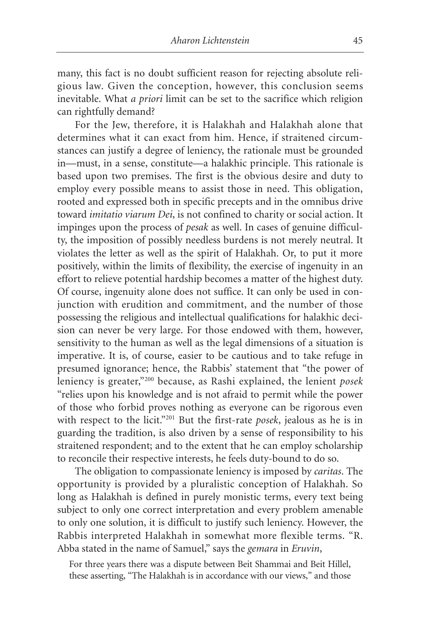many, this fact is no doubt sufficient reason for rejecting absolute religious law. Given the conception, however, this conclusion seems inevitable. What *a priori* limit can be set to the sacrifice which religion can rightfully demand?

For the Jew, therefore, it is Halakhah and Halakhah alone that determines what it can exact from him. Hence, if straitened circumstances can justify a degree of leniency, the rationale must be grounded in—must, in a sense, constitute—a halakhic principle. This rationale is based upon two premises. The first is the obvious desire and duty to employ every possible means to assist those in need. This obligation, rooted and expressed both in specific precepts and in the omnibus drive toward *imitatio viarum Dei*, is not confined to charity or social action. It impinges upon the process of *pesak* as well. In cases of genuine difficulty, the imposition of possibly needless burdens is not merely neutral. It violates the letter as well as the spirit of Halakhah. Or, to put it more positively, within the limits of flexibility, the exercise of ingenuity in an effort to relieve potential hardship becomes a matter of the highest duty. Of course, ingenuity alone does not suffice. It can only be used in conjunction with erudition and commitment, and the number of those possessing the religious and intellectual qualifications for halakhic decision can never be very large. For those endowed with them, however, sensitivity to the human as well as the legal dimensions of a situation is imperative. It is, of course, easier to be cautious and to take refuge in presumed ignorance; hence, the Rabbis' statement that "the power of leniency is greater,"200 because, as Rashi explained, the lenient *posek* "relies upon his knowledge and is not afraid to permit while the power of those who forbid proves nothing as everyone can be rigorous even with respect to the licit."201 But the first-rate *posek*, jealous as he is in guarding the tradition, is also driven by a sense of responsibility to his straitened respondent; and to the extent that he can employ scholarship to reconcile their respective interests, he feels duty-bound to do so.

The obligation to compassionate leniency is imposed by *caritas*. The opportunity is provided by a pluralistic conception of Halakhah. So long as Halakhah is defined in purely monistic terms, every text being subject to only one correct interpretation and every problem amenable to only one solution, it is difficult to justify such leniency. However, the Rabbis interpreted Halakhah in somewhat more flexible terms. "R. Abba stated in the name of Samuel," says the *gemara* in *Eruvin*,

For three years there was a dispute between Beit Shammai and Beit Hillel, these asserting, "The Halakhah is in accordance with our views," and those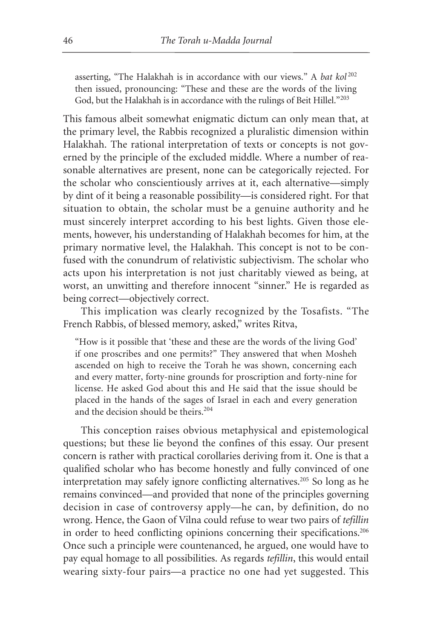asserting, "The Halakhah is in accordance with our views." A *bat kol*<sup>202</sup> then issued, pronouncing: "These and these are the words of the living God, but the Halakhah is in accordance with the rulings of Beit Hillel."<sup>203</sup>

This famous albeit somewhat enigmatic dictum can only mean that, at the primary level, the Rabbis recognized a pluralistic dimension within Halakhah. The rational interpretation of texts or concepts is not governed by the principle of the excluded middle. Where a number of reasonable alternatives are present, none can be categorically rejected. For the scholar who conscientiously arrives at it, each alternative—simply by dint of it being a reasonable possibility—is considered right. For that situation to obtain, the scholar must be a genuine authority and he must sincerely interpret according to his best lights. Given those elements, however, his understanding of Halakhah becomes for him, at the primary normative level, the Halakhah. This concept is not to be confused with the conundrum of relativistic subjectivism. The scholar who acts upon his interpretation is not just charitably viewed as being, at worst, an unwitting and therefore innocent "sinner." He is regarded as being correct—objectively correct.

This implication was clearly recognized by the Tosafists. "The French Rabbis, of blessed memory, asked," writes Ritva,

"How is it possible that 'these and these are the words of the living God' if one proscribes and one permits?" They answered that when Mosheh ascended on high to receive the Torah he was shown, concerning each and every matter, forty-nine grounds for proscription and forty-nine for license. He asked God about this and He said that the issue should be placed in the hands of the sages of Israel in each and every generation and the decision should be theirs.<sup>204</sup>

This conception raises obvious metaphysical and epistemological questions; but these lie beyond the confines of this essay. Our present concern is rather with practical corollaries deriving from it. One is that a qualified scholar who has become honestly and fully convinced of one interpretation may safely ignore conflicting alternatives.205 So long as he remains convinced—and provided that none of the principles governing decision in case of controversy apply—he can, by definition, do no wrong. Hence, the Gaon of Vilna could refuse to wear two pairs of *tefillin* in order to heed conflicting opinions concerning their specifications.<sup>206</sup> Once such a principle were countenanced, he argued, one would have to pay equal homage to all possibilities. As regards *tefillin*, this would entail wearing sixty-four pairs—a practice no one had yet suggested. This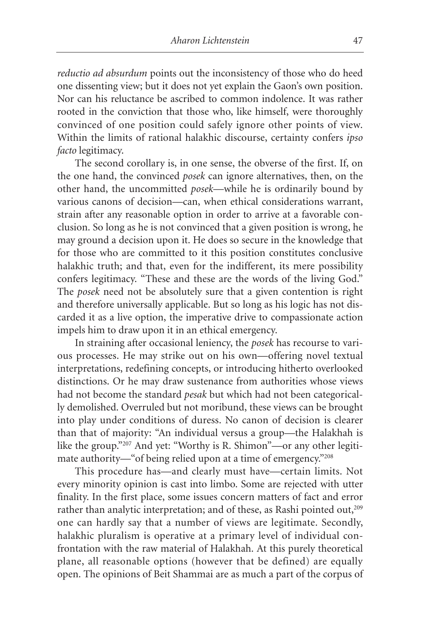*reductio ad absurdum* points out the inconsistency of those who do heed one dissenting view; but it does not yet explain the Gaon's own position. Nor can his reluctance be ascribed to common indolence. It was rather rooted in the conviction that those who, like himself, were thoroughly convinced of one position could safely ignore other points of view. Within the limits of rational halakhic discourse, certainty confers *ipso facto* legitimacy.

The second corollary is, in one sense, the obverse of the first. If, on the one hand, the convinced *posek* can ignore alternatives, then, on the other hand, the uncommitted *posek*—while he is ordinarily bound by various canons of decision—can, when ethical considerations warrant, strain after any reasonable option in order to arrive at a favorable conclusion. So long as he is not convinced that a given position is wrong, he may ground a decision upon it. He does so secure in the knowledge that for those who are committed to it this position constitutes conclusive halakhic truth; and that, even for the indifferent, its mere possibility confers legitimacy. "These and these are the words of the living God." The *posek* need not be absolutely sure that a given contention is right and therefore universally applicable. But so long as his logic has not discarded it as a live option, the imperative drive to compassionate action impels him to draw upon it in an ethical emergency.

In straining after occasional leniency, the *posek* has recourse to various processes. He may strike out on his own—offering novel textual interpretations, redefining concepts, or introducing hitherto overlooked distinctions. Or he may draw sustenance from authorities whose views had not become the standard *pesak* but which had not been categorically demolished. Overruled but not moribund, these views can be brought into play under conditions of duress. No canon of decision is clearer than that of majority: "An individual versus a group—the Halakhah is like the group."207 And yet: "Worthy is R. Shimon"—or any other legitimate authority—"of being relied upon at a time of emergency."208

This procedure has—and clearly must have—certain limits. Not every minority opinion is cast into limbo. Some are rejected with utter finality. In the first place, some issues concern matters of fact and error rather than analytic interpretation; and of these, as Rashi pointed out,<sup>209</sup> one can hardly say that a number of views are legitimate. Secondly, halakhic pluralism is operative at a primary level of individual confrontation with the raw material of Halakhah. At this purely theoretical plane, all reasonable options (however that be defined) are equally open. The opinions of Beit Shammai are as much a part of the corpus of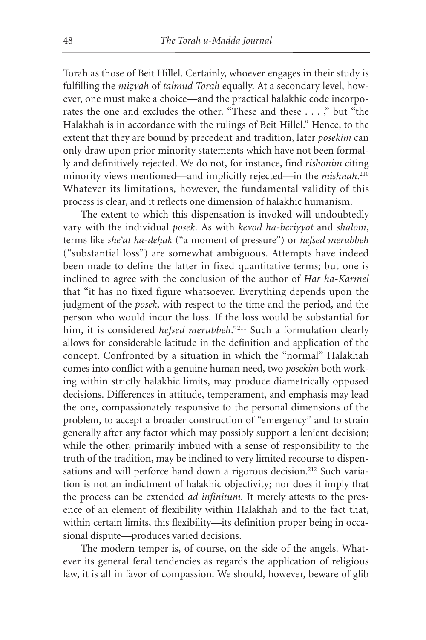Torah as those of Beit Hillel. Certainly, whoever engages in their study is fulfilling the *mizvah* of *talmud Torah* equally. At a secondary level, however, one must make a choice—and the practical halakhic code incorporates the one and excludes the other. "These and these . . . ," but "the Halakhah is in accordance with the rulings of Beit Hillel." Hence, to the extent that they are bound by precedent and tradition, later *posekim* can only draw upon prior minority statements which have not been formally and definitively rejected. We do not, for instance, find *rishonim* citing minority views mentioned—and implicitly rejected—in the *mishnah*. 210 Whatever its limitations, however, the fundamental validity of this process is clear, and it reflects one dimension of halakhic humanism.

The extent to which this dispensation is invoked will undoubtedly vary with the individual *posek*. As with *kevod ha-beriyyot* and *shalom*, terms like *she'at ha-dehak* ("a moment of pressure") or *hefsed merubbeh* ("substantial loss") are somewhat ambiguous. Attempts have indeed been made to define the latter in fixed quantitative terms; but one is inclined to agree with the conclusion of the author of *Har ha-Karmel* that "it has no fixed figure whatsoever. Everything depends upon the judgment of the *posek*, with respect to the time and the period, and the person who would incur the loss. If the loss would be substantial for him, it is considered *hefsed merubbeh*."211 Such a formulation clearly allows for considerable latitude in the definition and application of the concept. Confronted by a situation in which the "normal" Halakhah comes into conflict with a genuine human need, two *posekim* both working within strictly halakhic limits, may produce diametrically opposed decisions. Differences in attitude, temperament, and emphasis may lead the one, compassionately responsive to the personal dimensions of the problem, to accept a broader construction of "emergency" and to strain generally after any factor which may possibly support a lenient decision; while the other, primarily imbued with a sense of responsibility to the truth of the tradition, may be inclined to very limited recourse to dispensations and will perforce hand down a rigorous decision.<sup>212</sup> Such variation is not an indictment of halakhic objectivity; nor does it imply that the process can be extended *ad infinitum*. It merely attests to the presence of an element of flexibility within Halakhah and to the fact that, within certain limits, this flexibility—its definition proper being in occasional dispute—produces varied decisions.

The modern temper is, of course, on the side of the angels. Whatever its general feral tendencies as regards the application of religious law, it is all in favor of compassion. We should, however, beware of glib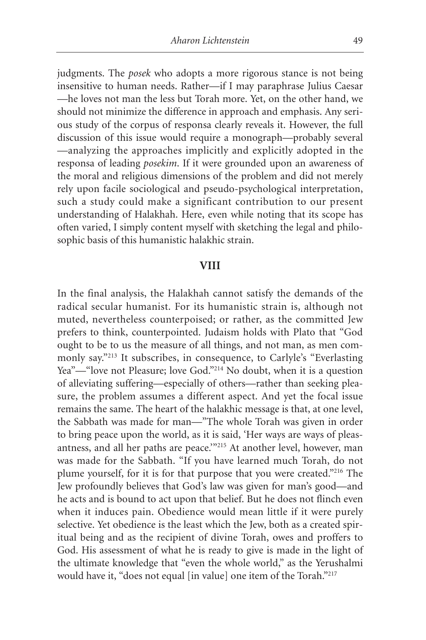judgments. The *posek* who adopts a more rigorous stance is not being insensitive to human needs. Rather—if I may paraphrase Julius Caesar —he loves not man the less but Torah more. Yet, on the other hand, we should not minimize the difference in approach and emphasis. Any serious study of the corpus of responsa clearly reveals it. However, the full discussion of this issue would require a monograph—probably several —analyzing the approaches implicitly and explicitly adopted in the responsa of leading *posekim*. If it were grounded upon an awareness of the moral and religious dimensions of the problem and did not merely rely upon facile sociological and pseudo-psychological interpretation, such a study could make a significant contribution to our present understanding of Halakhah. Here, even while noting that its scope has often varied, I simply content myself with sketching the legal and philosophic basis of this humanistic halakhic strain.

#### **VIII**

In the final analysis, the Halakhah cannot satisfy the demands of the radical secular humanist. For its humanistic strain is, although not muted, nevertheless counterpoised; or rather, as the committed Jew prefers to think, counterpointed. Judaism holds with Plato that "God ought to be to us the measure of all things, and not man, as men commonly say."213 It subscribes, in consequence, to Carlyle's "Everlasting Yea"—"love not Pleasure; love God."<sup>214</sup> No doubt, when it is a question of alleviating suffering—especially of others—rather than seeking pleasure, the problem assumes a different aspect. And yet the focal issue remains the same. The heart of the halakhic message is that, at one level, the Sabbath was made for man—"The whole Torah was given in order to bring peace upon the world, as it is said, 'Her ways are ways of pleasantness, and all her paths are peace.'"215 At another level, however, man was made for the Sabbath. "If you have learned much Torah, do not plume yourself, for it is for that purpose that you were created."216 The Jew profoundly believes that God's law was given for man's good—and he acts and is bound to act upon that belief. But he does not flinch even when it induces pain. Obedience would mean little if it were purely selective. Yet obedience is the least which the Jew, both as a created spiritual being and as the recipient of divine Torah, owes and proffers to God. His assessment of what he is ready to give is made in the light of the ultimate knowledge that "even the whole world," as the Yerushalmi would have it, "does not equal [in value] one item of the Torah."217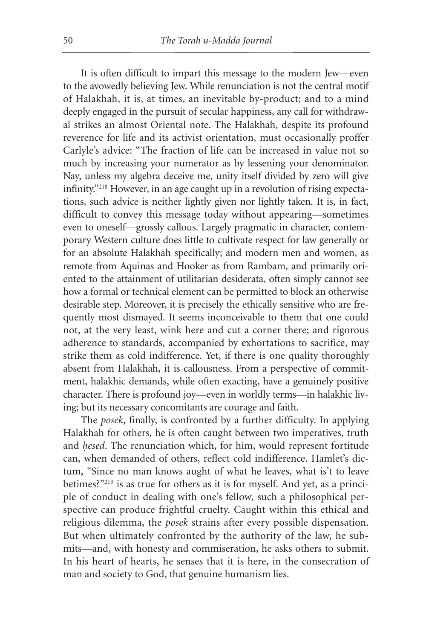It is often difficult to impart this message to the modern Jew—even to the avowedly believing Jew. While renunciation is not the central motif of Halakhah, it is, at times, an inevitable by-product; and to a mind deeply engaged in the pursuit of secular happiness, any call for withdrawal strikes an almost Oriental note. The Halakhah, despite its profound reverence for life and its activist orientation, must occasionally proffer Carlyle's advice: "The fraction of life can be increased in value not so much by increasing your numerator as by lessening your denominator. Nay, unless my algebra deceive me, unity itself divided by zero will give infinity."218 However, in an age caught up in a revolution of rising expectations, such advice is neither lightly given nor lightly taken. It is, in fact, difficult to convey this message today without appearing—sometimes even to oneself—grossly callous. Largely pragmatic in character, contemporary Western culture does little to cultivate respect for law generally or for an absolute Halakhah specifically; and modern men and women, as remote from Aquinas and Hooker as from Rambam, and primarily oriented to the attainment of utilitarian desiderata, often simply cannot see how a formal or technical element can be permitted to block an otherwise desirable step. Moreover, it is precisely the ethically sensitive who are frequently most dismayed. It seems inconceivable to them that one could not, at the very least, wink here and cut a corner there; and rigorous adherence to standards, accompanied by exhortations to sacrifice, may strike them as cold indifference. Yet, if there is one quality thoroughly absent from Halakhah, it is callousness. From a perspective of commitment, halakhic demands, while often exacting, have a genuinely positive character. There is profound joy—even in worldly terms—in halakhic living; but its necessary concomitants are courage and faith.

The *posek*, finally, is confronted by a further difficulty. In applying Halakhah for others, he is often caught between two imperatives, truth and *hesed*. The renunciation which, for him, would represent fortitude can, when demanded of others, reflect cold indifference. Hamlet's dictum, "Since no man knows aught of what he leaves, what is't to leave betimes?"<sup>219</sup> is as true for others as it is for myself. And yet, as a principle of conduct in dealing with one's fellow, such a philosophical perspective can produce frightful cruelty. Caught within this ethical and religious dilemma, the *posek* strains after every possible dispensation. But when ultimately confronted by the authority of the law, he submits—and, with honesty and commiseration, he asks others to submit. In his heart of hearts, he senses that it is here, in the consecration of man and society to God, that genuine humanism lies.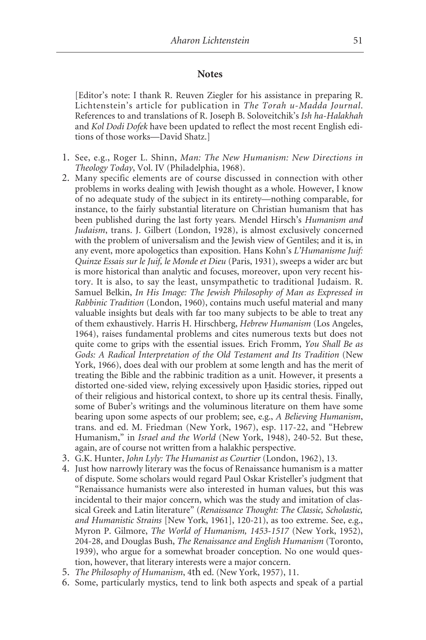#### **Notes**

[Editor's note: I thank R. Reuven Ziegler for his assistance in preparing R. Lichtenstein's article for publication in *The Torah u-Madda Journal*. References to and translations of R. Joseph B. Soloveitchik's *Ish ha-Halakhah* and *Kol Dodi Dofek* have been updated to reflect the most recent English editions of those works—David Shatz.]

- 1. See, e.g., Roger L. Shinn, *Man: The New Humanism: New Directions in Theology Today*, Vol. IV (Philadelphia, 1968).
- 2. Many specific elements are of course discussed in connection with other problems in works dealing with Jewish thought as a whole. However, I know of no adequate study of the subject in its entirety—nothing comparable, for instance, to the fairly substantial literature on Christian humanism that has been published during the last forty years. Mendel Hirsch's *Humanism and Judaism*, trans. J. Gilbert (London, 1928), is almost exclusively concerned with the problem of universalism and the Jewish view of Gentiles; and it is, in any event, more apologetics than exposition. Hans Kohn's *L'Humanisme Juif: Quinze Essais sur le Juif, le Monde et Dieu* (Paris, 1931), sweeps a wider arc but is more historical than analytic and focuses, moreover, upon very recent history. It is also, to say the least, unsympathetic to traditional Judaism. R. Samuel Belkin, *In His Image: The Jewish Philosophy of Man as Expressed in Rabbinic Tradition* (London, 1960), contains much useful material and many valuable insights but deals with far too many subjects to be able to treat any of them exhaustively. Harris H. Hirschberg, *Hebrew Humanism* (Los Angeles, 1964), raises fundamental problems and cites numerous texts but does not quite come to grips with the essential issues. Erich Fromm, *You Shall Be as Gods: A Radical Interpretation of the Old Testament and Its Tradition* (New York, 1966), does deal with our problem at some length and has the merit of treating the Bible and the rabbinic tradition as a unit. However, it presents a distorted one-sided view, relying excessively upon Hasidic stories, ripped out of their religious and historical context, to shore up its central thesis. Finally, some of Buber's writings and the voluminous literature on them have some bearing upon some aspects of our problem; see, e.g., *A Believing Humanism*, trans. and ed. M. Friedman (New York, 1967), esp. 117-22, and "Hebrew Humanism," in *Israel and the World* (New York, 1948), 240-52. But these, again, are of course not written from a halakhic perspective.
- 3. G.K. Hunter, *John Lyly: The Humanist as Courtier* (London, 1962), 13.
- 4. Just how narrowly literary was the focus of Renaissance humanism is a matter of dispute. Some scholars would regard Paul Oskar Kristeller's judgment that "Renaissance humanists were also interested in human values, but this was incidental to their major concern, which was the study and imitation of classical Greek and Latin literature" (*Renaissance Thought: The Classic, Scholastic, and Humanistic Strains* [New York, 1961], 120-21), as too extreme. See, e.g., Myron P. Gilmore, *The World of Humanism, 1453-1517* (New York, 1952), 204-28, and Douglas Bush, *The Renaissance and English Humanism* (Toronto, 1939), who argue for a somewhat broader conception. No one would question, however, that literary interests were a major concern.
- 5. *The Philosophy of Humanism*, 4th ed. (New York, 1957), 11.
- 6. Some, particularly mystics, tend to link both aspects and speak of a partial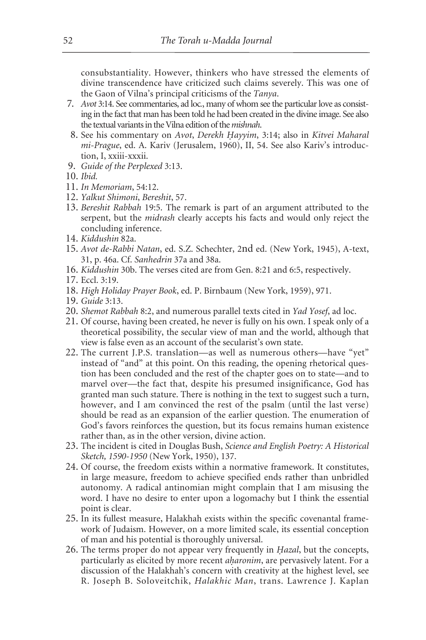consubstantiality. However, thinkers who have stressed the elements of divine transcendence have criticized such claims severely. This was one of the Gaon of Vilna's principal criticisms of the *Tanya*.

- 7. *Avot* 3:14. See commentaries, ad loc*.*, many of whom see the particular love as consisting in the fact that man has been told he had been created in the divine image. See also the textual variants in the Vilna edition of the *mishnah*.
- 8. See his commentary on *Avot*, *Derekh H. ayyim*, 3:14; also in *Kitvei Maharal mi-Prague*, ed. A. Kariv (Jerusalem, 1960), II, 54. See also Kariv's introduction, I, xxiii-xxxii.
- 9. *Guide of the Perplexed* 3:13.
- 10. *Ibid.*
- 11. *In Memoriam*, 54:12.
- 12. *Yalkut Shimoni*, *Bereshit*, 57.
- 13. *Bereshit Rabbah* 19:5. The remark is part of an argument attributed to the serpent, but the *midrash* clearly accepts his facts and would only reject the concluding inference.
- 14. *Kiddushin* 82a.
- 15. *Avot de-Rabbi Natan*, ed. S.Z. Schechter, 2nd ed. (New York, 1945), A-text, 31, p. 46a. Cf. *Sanhedrin* 37a and 38a.
- 16. *Kiddushin* 30b. The verses cited are from Gen. 8:21 and 6:5, respectively.
- 17. Eccl. 3:19.
- 18. *High Holiday Prayer Book*, ed. P. Birnbaum (New York, 1959), 971.
- 19. *Guide* 3:13.
- 20. *Shemot Rabbah* 8:2, and numerous parallel texts cited in *Yad Yosef*, ad loc.
- 21. Of course, having been created, he never is fully on his own. I speak only of a theoretical possibility, the secular view of man and the world, although that view is false even as an account of the secularist's own state.
- 22. The current J.P.S. translation—as well as numerous others—have "yet" instead of "and" at this point. On this reading, the opening rhetorical question has been concluded and the rest of the chapter goes on to state—and to marvel over—the fact that, despite his presumed insignificance, God has granted man such stature. There is nothing in the text to suggest such a turn, however, and I am convinced the rest of the psalm (until the last verse) should be read as an expansion of the earlier question. The enumeration of God's favors reinforces the question, but its focus remains human existence rather than, as in the other version, divine action.
- 23. The incident is cited in Douglas Bush, *Science and English Poetry: A Historical Sketch, 1590-1950* (New York, 1950), 137.
- 24. Of course, the freedom exists within a normative framework. It constitutes, in large measure, freedom to achieve specified ends rather than unbridled autonomy. A radical antinomian might complain that I am misusing the word. I have no desire to enter upon a logomachy but I think the essential point is clear.
- 25. In its fullest measure, Halakhah exists within the specific covenantal framework of Judaism. However, on a more limited scale, its essential conception of man and his potential is thoroughly universal.
- 26. The terms proper do not appear very frequently in *H. azal*, but the concepts, particularly as elicited by more recent *aharonim*, are pervasively latent. For a discussion of the Halakhah's concern with creativity at the highest level, see R. Joseph B. Soloveitchik, *Halakhic Man*, trans. Lawrence J. Kaplan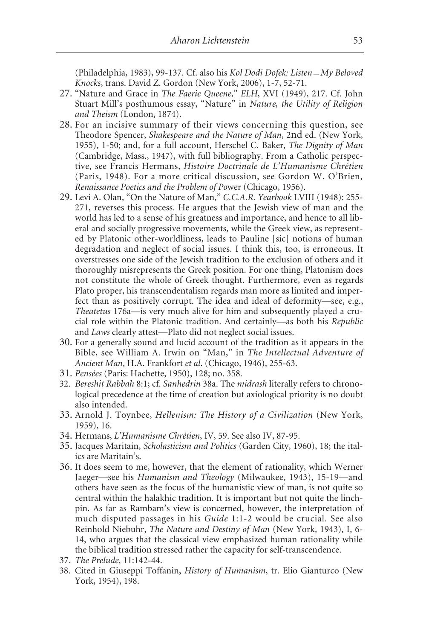(Philadelphia, 1983), 99-137. Cf. also his *Kol Dodi Dofek: Listen — My Beloved Knocks*, trans. David Z. Gordon (New York, 2006), 1-7, 52-71.

- 27. "Nature and Grace in *The Faerie Queene*," *ELH*, XVI (1949), 217. Cf. John Stuart Mill's posthumous essay, "Nature" in *Nature, the Utility of Religion and Theism* (London, 1874).
- 28. For an incisive summary of their views concerning this question, see Theodore Spencer, *Shakespeare and the Nature of Man*, 2nd ed. (New York, 1955), 1-50; and, for a full account, Herschel C. Baker, *The Dignity of Man* (Cambridge, Mass., 1947), with full bibliography. From a Catholic perspective, see Francis Hermans, *Histoire Doctrinale de L'Humanisme Chrétien* (Paris, 1948). For a more critical discussion, see Gordon W. O'Brien, *Renaissance Poetics and the Problem of Po*wer (Chicago, 1956).
- 29. Levi A. Olan, "On the Nature of Man," *C.C.A.R. Yearbook* LVIII (1948): 255- 271, reverses this process. He argues that the Jewish view of man and the world has led to a sense of his greatness and importance, and hence to all liberal and socially progressive movements, while the Greek view, as represented by Platonic other-worldliness, leads to Pauline [sic] notions of human degradation and neglect of social issues. I think this, too, is erroneous. It overstresses one side of the Jewish tradition to the exclusion of others and it thoroughly misrepresents the Greek position. For one thing, Platonism does not constitute the whole of Greek thought. Furthermore, even as regards Plato proper, his transcendentalism regards man more as limited and imperfect than as positively corrupt. The idea and ideal of deformity—see, e.g., *Theatetus* 176a—is very much alive for him and subsequently played a crucial role within the Platonic tradition. And certainly—as both his *Republic* and *Laws* clearly attest—Plato did not neglect social issues.
- 30. For a generally sound and lucid account of the tradition as it appears in the Bible, see William A. Irwin on "Man," in *The Intellectual Adventure of Ancient Man*, H.A. Frankfort *et al*. (Chicago, 1946), 255-63.
- 31. *Pensées* (Paris: Hachette, 1950), 128; no. 358.
- 32. *Bereshit Rabbah* 8:1; cf. *Sanhedrin* 38a. The *midrash* literally refers to chronological precedence at the time of creation but axiological priority is no doubt also intended.
- 33. Arnold J. Toynbee, *Hellenism: The History of a Civilization* (New York, 1959), 16.
- 34. Hermans, *L'Humanisme Chrétien*, IV, 59. See also IV, 87-95.
- 35. Jacques Maritain, *Scholasticism and Politics* (Garden City, 1960), 18; the italics are Maritain's.
- 36. It does seem to me, however, that the element of rationality, which Werner Jaeger—see his *Humanism and Theology* (Milwaukee, 1943), 15-19—and others have seen as the focus of the humanistic view of man, is not quite so central within the halakhic tradition. It is important but not quite the linchpin. As far as Rambam's view is concerned, however, the interpretation of much disputed passages in his *Guide* 1:1-2 would be crucial. See also Reinhold Niebuhr, *The Nature and Destiny of Man* (New York, 1943), I, 6- 14, who argues that the classical view emphasized human rationality while the biblical tradition stressed rather the capacity for self-transcendence.
- 37. *The Prelude*, 11:142-44.
- 38. Cited in Giuseppi Toffanin, *History of Humanism*, tr. Elio Gianturco (New York, 1954), 198.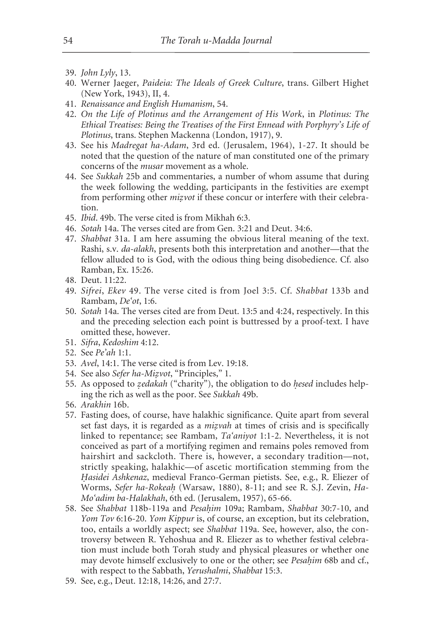- 39. *John Lyly*, 13.
- 40. Werner Jaeger, *Paideia: The Ideals of Greek Culture*, trans. Gilbert Highet (New York, 1943), II, 4.
- 41. *Renaissance and English Humanism*, 54.
- 42. *On the Life of Plotinus and the Arrangement of His Work*, in *Plotinus: The Ethical Treatises: Being the Treatises of the First Ennead with Porphyry's Life of Plotinus*, trans. Stephen Mackenna (London, 1917), 9.
- 43. See his *Madregat ha-Adam*, 3rd ed. (Jerusalem, 1964), 1-27. It should be noted that the question of the nature of man constituted one of the primary concerns of the *musar* movement as a whole.
- 44. See *Sukkah* 25b and commentaries, a number of whom assume that during the week following the wedding, participants in the festivities are exempt from performing other *mizvot* if these concur or interfere with their celebration.
- 45. *Ibid*. 49b. The verse cited is from Mikhah 6:3.
- 46. *Sotah* 14a. The verses cited are from Gen. 3:21 and Deut. 34:6.
- 47. *Shabbat* 31a. I am here assuming the obvious literal meaning of the text. Rashi, s.v. *da-alakh*, presents both this interpretation and another—that the fellow alluded to is God, with the odious thing being disobedience. Cf. also Ramban, Ex. 15:26.
- 48. Deut. 11:22.
- 49. *Sifrei*, *Ekev* 49. The verse cited is from Joel 3:5. Cf. *Shabbat* 133b and Rambam, *De'ot*, 1:6.
- 50. *Sotah* 14a. The verses cited are from Deut. 13:5 and 4:24, respectively. In this and the preceding selection each point is buttressed by a proof-text. I have omitted these, however.
- 51. *Sifra*, *Kedoshim* 4:12.
- 52. See *Pe'ah* 1:1.
- 53. *Avel*, 14:1. The verse cited is from Lev. 19:18.
- 54. See also *Sefer ha-Mizvot*, "Principles," 1.
- 55. As opposed to *zedakah* ("charity"), the obligation to do *hesed* includes helping the rich as well as the poor. See *Sukkah* 49b.
- 56. *Arakhin* 16b.
- 57. Fasting does, of course, have halakhic significance. Quite apart from several set fast days, it is regarded as a *mizvah* at times of crisis and is specifically linked to repentance; see Rambam, *Ta'aniyot* 1:1-2. Nevertheless, it is not conceived as part of a mortifying regimen and remains poles removed from hairshirt and sackcloth. There is, however, a secondary tradition—not, strictly speaking, halakhic—of ascetic mortification stemming from the *H. asidei Ashkenaz*, medieval Franco-German pietists. See, e.g., R. Eliezer of Worms, *Sefer ha-Rokeah.* (Warsaw, 1880), 8-11; and see R. S.J. Zevin, *Ha-Mo'adim ba-Halakhah*, 6th ed. (Jerusalem, 1957), 65-66.
- 58. See *Shabbat* 118b-119a and *Pesah. im* 109a; Rambam, *Shabbat* 30:7-10, and *Yom Tov* 6:16-20. *Yom Kippur* is, of course, an exception, but its celebration, too, entails a worldly aspect; see *Shabbat* 119a. See, however, also, the controversy between R. Yehoshua and R. Eliezer as to whether festival celebration must include both Torah study and physical pleasures or whether one may devote himself exclusively to one or the other; see *Pesahim* 68b and cf., with respect to the Sabbath, *Yerushalmi*, *Shabbat* 15:3.
- 59. See, e.g., Deut. 12:18, 14:26, and 27:7.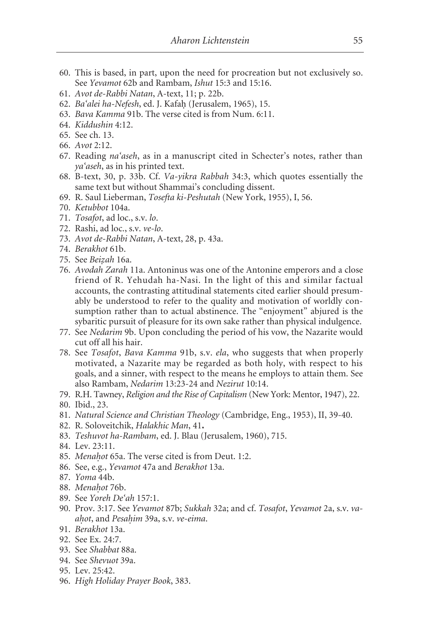- 60. This is based, in part, upon the need for procreation but not exclusively so. See *Yevamot* 62b and Rambam, *Ishut* 15:3 and 15:16.
- 61. *Avot de-Rabbi Natan*, A-text, 11; p. 22b.
- 62. *Ba'alei ha-Nefesh*, ed. J. Kafah. (Jerusalem, 1965), 15.
- 63. *Bava Kamma* 91b. The verse cited is from Num. 6:11.
- 64. *Kiddushin* 4:12.
- 65. See ch. 13.
- 66. *Avot* 2:12.
- 67. Reading *na'aseh*, as in a manuscript cited in Schecter's notes, rather than *ya'aseh*, as in his printed text.
- 68. B-text, 30, p. 33b. Cf. *Va-yikra Rabbah* 34:3, which quotes essentially the same text but without Shammai's concluding dissent.
- 69. R. Saul Lieberman, *Tosefta ki-Peshutah* (New York, 1955), I, 56.
- 70. *Ketubbot* 104a.
- 71. *Tosafot*, ad loc., s.v. *lo*.
- 72. Rashi, ad loc., s.v. *ve-lo*.
- 73. *Avot de-Rabbi Natan*, A-text, 28, p. 43a.
- 74. *Berakhot* 61b.
- 75. See *Beiz. ah* 16a.
- 76. *Avodah Zarah* 11a. Antoninus was one of the Antonine emperors and a close friend of R. Yehudah ha-Nasi. In the light of this and similar factual accounts, the contrasting attitudinal statements cited earlier should presumably be understood to refer to the quality and motivation of worldly consumption rather than to actual abstinence. The "enjoyment" abjured is the sybaritic pursuit of pleasure for its own sake rather than physical indulgence.
- 77. See *Nedarim* 9b. Upon concluding the period of his vow, the Nazarite would cut off all his hair.
- 78. See *Tosafot*, *Bava Kamma* 91b, s.v. *ela*, who suggests that when properly motivated, a Nazarite may be regarded as both holy, with respect to his goals, and a sinner, with respect to the means he employs to attain them. See also Rambam, *Nedarim* 13:23-24 and *Nezirut* 10:14.
- 79. R.H. Tawney, *Religion and the Rise of Capitalism* (New York: Mentor, 1947), 22. 80. Ibid., 23.
- 81. *Natural Science and Christian Theology* (Cambridge, Eng., 1953), II, 39-40.
- 82. R. Soloveitchik, *Halakhic Man*, 41**.**
- 83. *Teshuvot ha-Rambam*, ed. J. Blau (Jerusalem, 1960), 715.
- 84. Lev. 23:11.
- 85. *Menahot* 65a. The verse cited is from Deut. 1:2.
- 86. See, e.g., *Yevamot* 47a and *Berakhot* 13a.
- 87. *Yoma* 44b.
- 88. Menahot 76b.
- 89. See *Yoreh De'ah* 157:1.
- 90. Prov. 3:17. See *Yevamot* 87b; *Sukkah* 32a; and cf. *Tosafot*, *Yevamot* 2a, s.v. *vaah. ot*, and *Pesah. im* 39a, s.v. *ve-eima*.
- 91. *Berakhot* 13a.
- 92. See Ex. 24:7.
- 93. See *Shabbat* 88a.
- 94. See *Shevuot* 39a.
- 95. Lev. 25:42.
- 96. *High Holiday Prayer Book*, 383.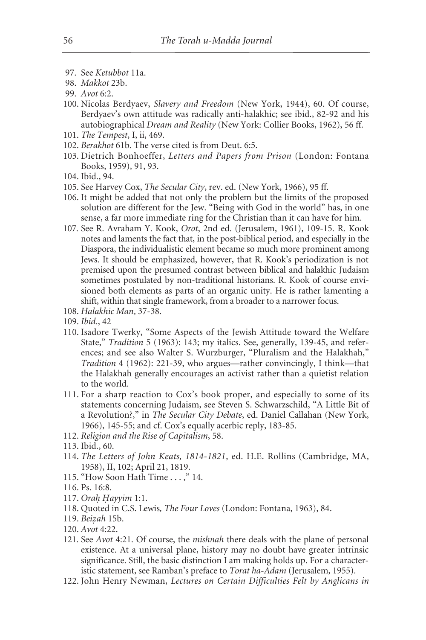- 97. See *Ketubbot* 11a.
- 98. *Makkot* 23b.
- 99. *Avot* 6:2.
- 100. Nicolas Berdyaev, *Slavery and Freedom* (New York, 1944), 60. Of course, Berdyaev's own attitude was radically anti-halakhic; see ibid., 82-92 and his autobiographical *Dream and Reality* (New York: Collier Books, 1962), 56 ff.
- 101. *The Tempest*, I, ii, 469.
- 102. *Berakhot* 61b. The verse cited is from Deut. 6:5.
- 103. Dietrich Bonhoeffer, *Letters and Papers from Prison* (London: Fontana Books, 1959), 91, 93.
- 104. Ibid., 94.
- 105. See Harvey Cox, *The Secular City*, rev. ed. (New York, 1966), 95 ff.
- 106. It might be added that not only the problem but the limits of the proposed solution are different for the Jew. "Being with God in the world" has, in one sense, a far more immediate ring for the Christian than it can have for him.
- 107. See R. Avraham Y. Kook, *Orot*, 2nd ed. (Jerusalem, 1961), 109-15. R. Kook notes and laments the fact that, in the post-biblical period, and especially in the Diaspora, the individualistic element became so much more prominent among Jews. It should be emphasized, however, that R. Kook's periodization is not premised upon the presumed contrast between biblical and halakhic Judaism sometimes postulated by non-traditional historians. R. Kook of course envisioned both elements as parts of an organic unity. He is rather lamenting a shift, within that single framework, from a broader to a narrower focus.
- 108. *Halakhic Man*, 37-38.
- 109. *Ibid*., 42
- 110. Isadore Twerky, "Some Aspects of the Jewish Attitude toward the Welfare State," *Tradition* 5 (1963): 143; my italics. See, generally, 139-45, and references; and see also Walter S. Wurzburger, "Pluralism and the Halakhah," *Tradition* 4 (1962): 221-39, who argues—rather convincingly, I think—that the Halakhah generally encourages an activist rather than a quietist relation to the world.
- 111. For a sharp reaction to Cox's book proper, and especially to some of its statements concerning Judaism, see Steven S. Schwarzschild, "A Little Bit of a Revolution?," in *The Secular City Debate*, ed. Daniel Callahan (New York, 1966), 145-55; and cf. Cox's equally acerbic reply, 183-85.
- 112. *Religion and the Rise of Capitalism*, 58.
- 113. Ibid., 60.
- 114. *The Letters of John Keats, 1814-1821*, ed. H.E. Rollins (Cambridge, MA, 1958), II, 102; April 21, 1819.
- 115. "How Soon Hath Time . . . ," 14.
- 116. Ps. 16:8.
- 117. *Orah. H. ayyim* 1:1.
- 118. Quoted in C.S. Lewis*, The Four Loves* (London: Fontana, 1963), 84.
- 119. *Beiz. ah* 15b.
- 120. *Avot* 4:22.
- 121. See *Avot* 4:21. Of course, the *mishnah* there deals with the plane of personal existence. At a universal plane, history may no doubt have greater intrinsic significance. Still, the basic distinction I am making holds up. For a characteristic statement, see Ramban's preface to *Torat ha-Adam* (Jerusalem, 1955).
- 122. John Henry Newman, *Lectures on Certain Difficulties Felt by Anglicans in*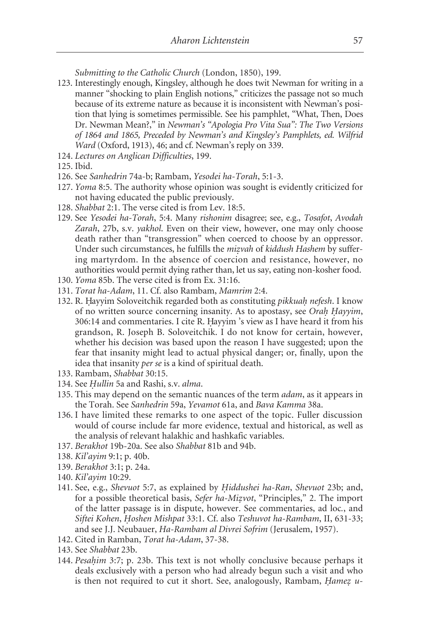*Submitting to the Catholic Church* (London, 1850), 199.

- 123. Interestingly enough, Kingsley, although he does twit Newman for writing in a manner "shocking to plain English notions," criticizes the passage not so much because of its extreme nature as because it is inconsistent with Newman's position that lying is sometimes permissible. See his pamphlet, "What, Then, Does Dr. Newman Mean?," in *Newman's "Apologia Pro Vita Sua": The Two Versions of 1864 and 1865, Preceded by Newman's and Kingsley's Pamphlets, ed. Wilfrid Ward* (Oxford, 1913), 46; and cf. Newman's reply on 339.
- 124. *Lectures on Anglican Difficulties*, 199.
- 125. Ibid.
- 126. See *Sanhedrin* 74a-b; Rambam, *Yesodei ha-Torah*, 5:1-3.
- 127. *Yoma* 8:5. The authority whose opinion was sought is evidently criticized for not having educated the public previously.
- 128. *Shabbat* 2:1. The verse cited is from Lev. 18:5.
- 129. See *Yesodei ha-Torah*, 5:4. Many *rishonim* disagree; see, e.g., *Tosafot*, *Avodah Zarah*, 27b, s.v. *yakhol*. Even on their view, however, one may only choose death rather than "transgression" when coerced to choose by an oppressor. Under such circumstances, he fulfills the *mizvah* of *kiddush Hashem* by suffering martyrdom. In the absence of coercion and resistance, however, no authorities would permit dying rather than, let us say, eating non-kosher food.
- 130. *Yoma* 85b. The verse cited is from Ex. 31:16.
- 131. *Torat ha-Adam*, 11. Cf. also Rambam, *Mamrim* 2:4.
- 132. R. Hayyim Soloveitchik regarded both as constituting *pikkuah nefesh*. I know of no written source concerning insanity. As to apostasy, see *Orah. H. ayyim*, 306:14 and commentaries. I cite R. Hayyim 's view as I have heard it from his grandson, R. Joseph B. Soloveitchik. I do not know for certain, however, whether his decision was based upon the reason I have suggested; upon the fear that insanity might lead to actual physical danger; or, finally, upon the idea that insanity *per se* is a kind of spiritual death.
- 133. Rambam, *Shabbat* 30:15.
- 134. See *H. ullin* 5a and Rashi, s.v. *alma*.
- 135. This may depend on the semantic nuances of the term *adam*, as it appears in the Torah. See *Sanhedrin* 59a, *Yevamot* 61a, and *Bava Kamma* 38a.
- 136. I have limited these remarks to one aspect of the topic. Fuller discussion would of course include far more evidence, textual and historical, as well as the analysis of relevant halakhic and hashkafic variables.
- 137. *Berakhot* 19b-20a. See also *Shabbat* 81b and 94b.
- 138. *Kil'ayim* 9:1; p. 40b.
- 139. *Berakhot* 3:1; p. 24a.
- 140. *Kil'ayim* 10:29.
- 141. See, e.g., *Shevuot* 5:7, as explained by *H. iddushei ha-Ran*, *Shevuot* 23b; and, for a possible theoretical basis, *Sefer ha-Mizvot*, "Principles," 2. The import of the latter passage is in dispute, however. See commentaries, ad loc*.*, and *Siftei Kohen*, *H. oshen Mishpat* 33:1. Cf. also *Teshuvot ha-Rambam*, II, 631-33; and see J.J. Neubauer, *Ha-Rambam al Divrei Sofrim* (Jerusalem, 1957).
- 142. Cited in Ramban, *Torat ha-Adam*, 37-38.
- 143. See *Shabbat* 23b.
- 144. *Pesahim* 3:7; p. 23b. This text is not wholly conclusive because perhaps it deals exclusively with a person who had already begun such a visit and who is then not required to cut it short. See, analogously, Rambam, *Hamez u-*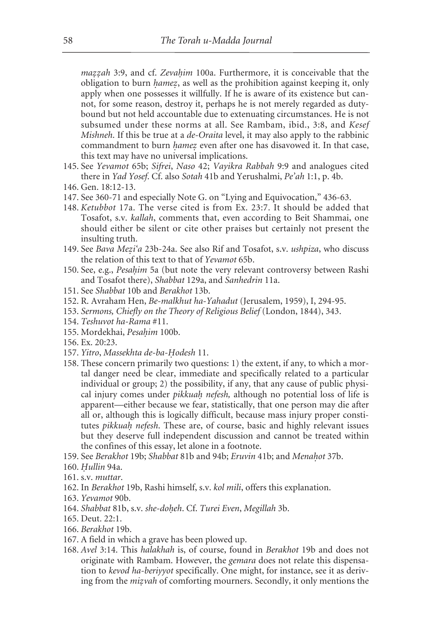*mazzah* 3:9, and cf. *Zevahim* 100a. Furthermore, it is conceivable that the obligation to burn *hamez*, as well as the prohibition against keeping it, only apply when one possesses it willfully. If he is aware of its existence but cannot, for some reason, destroy it, perhaps he is not merely regarded as dutybound but not held accountable due to extenuating circumstances. He is not subsumed under these norms at all. See Rambam, ibid., 3:8, and *Kesef Mishneh*. If this be true at a *de-Oraita* level, it may also apply to the rabbinic commandment to burn *hamez* even after one has disavowed it. In that case, this text may have no universal implications.

- 145. See *Yevamot* 65b; *Sifrei*, *Naso* 42; *Vayikra Rabbah* 9:9 and analogues cited there in *Yad Yosef*. Cf. also *Sotah* 41b and Yerushalmi, *Pe'ah* 1:1, p. 4b.
- 146. Gen. 18:12-13.
- 147. See 360-71 and especially Note G. on "Lying and Equivocation," 436-63.
- 148. *Ketubbot* 17a. The verse cited is from Ex. 23:7. It should be added that Tosafot, s.v. *kallah*, comments that, even according to Beit Shammai, one should either be silent or cite other praises but certainly not present the insulting truth.
- 149. See *Bava Mez. i'a* 23b-24a. See also Rif and Tosafot, s.v. *ushpiza*, who discuss the relation of this text to that of *Yevamot* 65b.
- 150. See, e.g., *Pesahim* 5a (but note the very relevant controversy between Rashi and Tosafot there), *Shabbat* 129a, and *Sanhedrin* 11a.
- 151. See *Shabbat* 10b and *Berakhot* 13b.
- 152. R. Avraham Hen, *Be-malkhut ha-Yahadut* (Jerusalem, 1959), I, 294-95.
- 153. *Sermons, Chiefly on the Theory of Religious Belief* (London, 1844), 343.
- 154. *Teshuvot ha-Rama* #11.
- 155. Mordekhai, *Pesahim* 100b.
- 156. Ex. 20:23.
- 157. *Yitro*, *Massekhta de-ba-H. odesh* 11.
- 158. These concern primarily two questions: 1) the extent, if any, to which a mortal danger need be clear, immediate and specifically related to a particular individual or group; 2) the possibility, if any, that any cause of public physical injury comes under *pikkuah. nefesh,* although no potential loss of life is apparent—either because we fear, statistically, that one person may die after all or, although this is logically difficult, because mass injury proper constitutes *pikkuah. nefesh*. These are, of course, basic and highly relevant issues but they deserve full independent discussion and cannot be treated within the confines of this essay, let alone in a footnote.
- 159. See *Berakhot* 19b; *Shabbat* 81b and 94b; *Eruvin* 41b; and *Menahot* 37b.
- 160. *H. ullin* 94a.
- 161. s.v. *muttar*.
- 162. In *Berakhot* 19b, Rashi himself, s.v. *kol mili*, offers this explanation.
- 163. *Yevamot* 90b.
- 164. *Shabbat* 81b, s.v. *she-doh.eh*. Cf. *Turei Even*, *Megillah* 3b.
- 165. Deut. 22:1.
- 166. *Berakhot* 19b.
- 167. A field in which a grave has been plowed up.
- 168. *Avel* 3:14. This *halakhah* is, of course, found in *Berakhot* 19b and does not originate with Rambam. However, the *gemara* does not relate this dispensation to *kevod ha-beriyyot* specifically. One might, for instance, see it as deriving from the *mizvah* of comforting mourners. Secondly, it only mentions the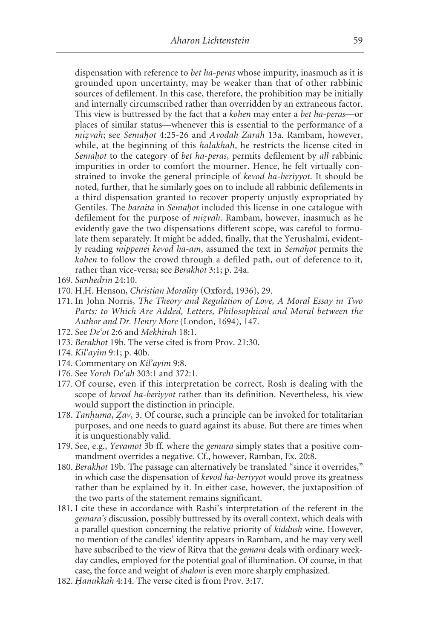dispensation with reference to *bet ha-peras* whose impurity, inasmuch as it is grounded upon uncertainty, may be weaker than that of other rabbinic sources of defilement. In this case, therefore, the prohibition may be initially and internally circumscribed rather than overridden by an extraneous factor. This view is buttressed by the fact that a *kohen* may enter a *bet ha-peras*—or places of similar status—whenever this is essential to the performance of a *mizvah*; see *Semahot* 4:25-26 and *Avodah Zarah* 13a. Rambam, however, while, at the beginning of this *halakhah*, he restricts the license cited in Semahot to the category of *bet ha-peras*, permits defilement by all rabbinic impurities in order to comfort the mourner. Hence, he felt virtually constrained to invoke the general principle of *kevod ha-beriyyot*. It should be noted, further, that he similarly goes on to include all rabbinic defilements in a third dispensation granted to recover property unjustly expropriated by Gentiles. The *baraita* in *Semahot* included this license in one catalogue with defilement for the purpose of *mizvah*. Rambam, however, inasmuch as he evidently gave the two dispensations different scope, was careful to formulate them separately. It might be added, finally, that the Yerushalmi, evidently reading *mippenei kevod ha-am*, assumed the text in *Semahot* permits the *kohen* to follow the crowd through a defiled path, out of deference to it, rather than vice-versa; see *Berakhot* 3:1; p. 24a.

- 169. *Sanhedrin* 24:10.
- 170. H.H. Henson, *Christian Morality* (Oxford, 1936), 29.
- 171. In John Norris, *The Theory and Regulation of Love, A Moral Essay in Two Parts: to Which Are Added, Letters, Philosophical and Moral between the Author and Dr. Henry More* (London, 1694), 147.
- 172. See *De'ot* 2:6 and *Mekhirah* 18:1.
- 173. *Berakhot* 19b. The verse cited is from Prov. 21:30.
- 174. *Kil'ayim* 9:1; p. 40b.
- 174. Commentary on *Kil'ayim* 9:8.
- 176. See *Yoreh De'ah* 303:1 and 372:1.
- 177. Of course, even if this interpretation be correct, Rosh is dealing with the scope of *kevod ha-beriyyot* rather than its definition. Nevertheless, his view would support the distinction in principle.
- 178. *Tanhuma*, *Zav*, 3. Of course, such a principle can be invoked for totalitarian purposes, and one needs to guard against its abuse. But there are times when it is unquestionably valid.
- 179. See, e.g., *Yevamot* 3b ff. where the *gemara* simply states that a positive commandment overrides a negative. Cf., however, Ramban, Ex. 20:8.
- 180. *Berakhot* 19b. The passage can alternatively be translated "since it overrides," in which case the dispensation of *kevod ha-beriyyot* would prove its greatness rather than be explained by it. In either case, however, the juxtaposition of the two parts of the statement remains significant.
- 181. I cite these in accordance with Rashi's interpretation of the referent in the *gemara's* discussion, possibly buttressed by its overall context, which deals with a parallel question concerning the relative priority of *kiddush* wine. However, no mention of the candles' identity appears in Rambam, and he may very well have subscribed to the view of Ritva that the *gemara* deals with ordinary weekday candles, employed for the potential goal of illumination. Of course, in that case, the force and weight of *shalom* is even more sharply emphasized.
- 182. *Hanukkah* 4:14. The verse cited is from Prov. 3:17.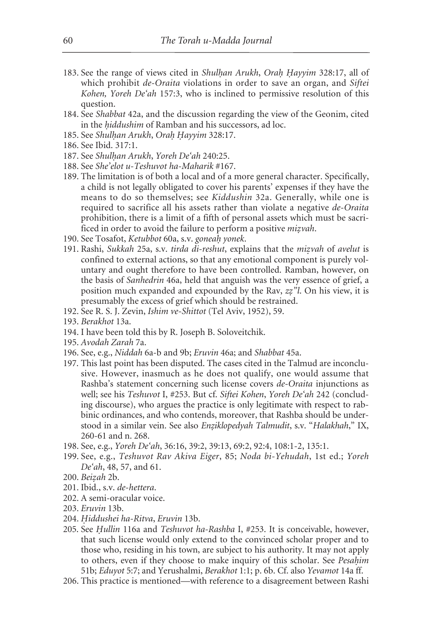- 183. See the range of views cited in *Shulhan Arukh*, *Orah Hayyim* 328:17, all of which prohibit *de-Oraita* violations in order to save an organ, and *Siftei Kohen, Yoreh De'ah* 157:3, who is inclined to permissive resolution of this question.
- 184. See *Shabbat* 42a, and the discussion regarding the view of the Geonim, cited in the *hiddushim* of Ramban and his successors, ad loc.
- 185. See *Shulhan Arukh*, *Orah Hayyim* 328:17.
- 186. See Ibid. 317:1.
- 187. See *Shulh. an Arukh*, *Yoreh De'ah* 240:25.
- 188. See *She'elot u-Teshuvot ha-Maharik* #167.
- 189. The limitation is of both a local and of a more general character. Specifically, a child is not legally obligated to cover his parents' expenses if they have the means to do so themselves; see *Kiddushin* 32a. Generally, while one is required to sacrifice all his assets rather than violate a negative *de-Oraita* prohibition, there is a limit of a fifth of personal assets which must be sacrificed in order to avoid the failure to perform a positive *mizvah*.
- 190. See Tosafot, *Ketubbot* 60a, s.v. *goneah. yonek*.
- 191. Rashi, *Sukkah* 25a, s.v. *tirda di-reshut*, explains that the *miz. vah* of *avelut* is confined to external actions, so that any emotional component is purely voluntary and ought therefore to have been controlled. Ramban, however, on the basis of *Sanhedrin* 46a, held that anguish was the very essence of grief, a position much expanded and expounded by the Rav, *zz. "l*. On his view, it is presumably the excess of grief which should be restrained.
- 192. See R. S. J. Zevin, *Ishim ve-Shittot* (Tel Aviv, 1952), 59.
- 193. *Berakhot* 13a.
- 194. I have been told this by R. Joseph B. Soloveitchik.
- 195. *Avodah Zarah* 7a.
- 196. See, e.g., *Niddah* 6a-b and 9b; *Eruvin* 46a; and *Shabbat* 45a.
- 197. This last point has been disputed. The cases cited in the Talmud are inconclusive. However, inasmuch as he does not qualify, one would assume that Rashba's statement concerning such license covers *de-Oraita* injunctions as well; see his *Teshuvot* I, #253. But cf. *Siftei Kohen*, *Yoreh De'ah* 242 (concluding discourse), who argues the practice is only legitimate with respect to rabbinic ordinances, and who contends, moreover, that Rashba should be understood in a similar vein. See also *Enz.iklopedyah Talmudit*, s.v. "*Halakhah*," IX, 260-61 and n. 268.
- 198. See, e.g., *Yoreh De'ah*, 36:16, 39:2, 39:13, 69:2, 92:4, 108:1-2, 135:1.
- 199. See, e.g., *Teshuvot Rav Akiva Eiger*, 85; *Noda bi-Yehudah*, 1st ed.; *Yoreh De'ah*, 48, 57, and 61.
- 200. *Beiz. ah* 2b.
- 201. Ibid., s.v. *de-hettera*.
- 202. A semi-oracular voice.
- 203. *Eruvin* 13b.
- 204. *H. iddushei ha-Ritva*, *Eruvin* 13b.
- 205. See *H. ullin* 116a and *Teshuvot ha-Rashba* I, #253. It is conceivable, however, that such license would only extend to the convinced scholar proper and to those who, residing in his town, are subject to his authority. It may not apply to others, even if they choose to make inquiry of this scholar. See *Pesahim* 51b; *Eduyot* 5:7; and Yerushalmi, *Berakhot* 1:1; p. 6b. Cf. also *Yevamot* 14a ff.
- 206. This practice is mentioned—with reference to a disagreement between Rashi